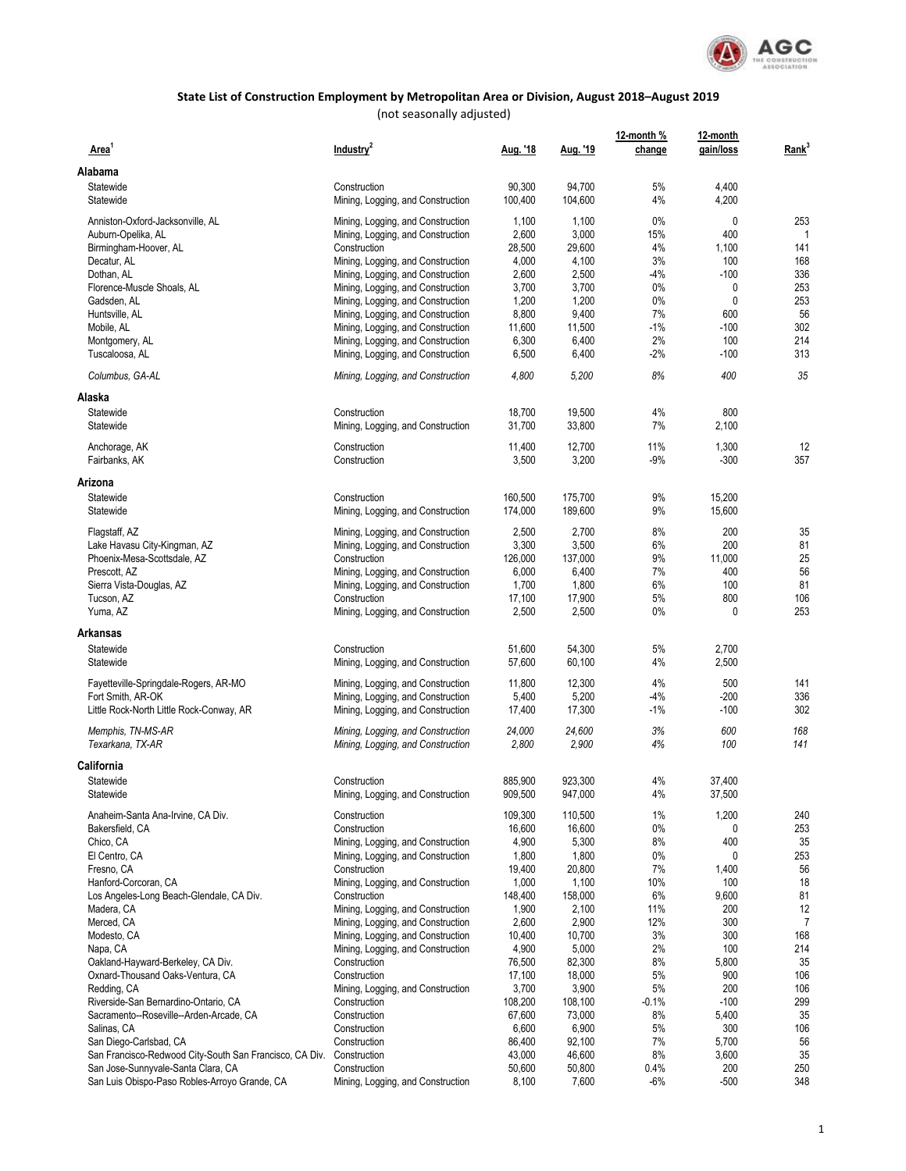

| Area <sup>1</sup>                                       | Industry <sup>2</sup>                             | Aug. '18         | Aug. '19         | 12-month %<br>change | 12-month<br>gain/loss | Rank <sup>3</sup> |
|---------------------------------------------------------|---------------------------------------------------|------------------|------------------|----------------------|-----------------------|-------------------|
| Alabama                                                 |                                                   |                  |                  |                      |                       |                   |
| Statewide                                               | Construction                                      | 90,300           | 94,700           | 5%                   | 4,400                 |                   |
| Statewide                                               | Mining, Logging, and Construction                 | 100,400          | 104,600          | 4%                   | 4,200                 |                   |
| Anniston-Oxford-Jacksonville, AL                        | Mining, Logging, and Construction                 | 1,100            | 1,100            | $0\%$                | 0                     | 253               |
| Auburn-Opelika, AL                                      | Mining, Logging, and Construction                 | 2,600            | 3,000            | 15%                  | 400                   |                   |
| Birmingham-Hoover, AL                                   | Construction                                      | 28,500           | 29,600           | 4%                   | 1,100                 | 141               |
| Decatur, AL                                             | Mining, Logging, and Construction                 | 4,000            | 4,100            | 3%                   | 100                   | 168               |
| Dothan, AL                                              | Mining, Logging, and Construction                 | 2,600            | 2,500            | $-4%$                | $-100$                | 336               |
| Florence-Muscle Shoals, AL                              | Mining, Logging, and Construction                 | 3,700            | 3,700            | $0\%$                | 0                     | 253               |
| Gadsden, AL                                             | Mining, Logging, and Construction                 | 1,200            | 1,200            | $0\%$                | 0                     | 253               |
| Huntsville, AL                                          | Mining, Logging, and Construction                 | 8,800            | 9,400            | 7%                   | 600                   | 56                |
| Mobile, AL                                              | Mining, Logging, and Construction                 | 11,600           | 11,500           | $-1%$                | $-100$                | 302               |
| Montgomery, AL                                          | Mining, Logging, and Construction                 | 6,300            | 6,400            | 2%                   | 100                   | 214               |
| Tuscaloosa, AL                                          | Mining, Logging, and Construction                 | 6,500            | 6,400            | $-2%$                | $-100$                | 313               |
|                                                         |                                                   |                  |                  |                      |                       |                   |
| Columbus, GA-AL                                         | Mining, Logging, and Construction                 | 4,800            | 5,200            | 8%                   | 400                   | 35                |
| Alaska                                                  |                                                   |                  |                  |                      |                       |                   |
| Statewide                                               | Construction                                      | 18,700           | 19,500           | 4%                   | 800                   |                   |
| Statewide                                               | Mining, Logging, and Construction                 | 31,700           | 33,800           | 7%                   | 2,100                 |                   |
| Anchorage, AK                                           | Construction                                      | 11,400           | 12,700           | 11%                  | 1,300                 | 12                |
| Fairbanks, AK                                           | Construction                                      | 3,500            | 3,200            | $-9%$                | $-300$                | 357               |
| Arizona                                                 |                                                   |                  |                  |                      |                       |                   |
| Statewide                                               | Construction                                      | 160,500          | 175,700          | 9%                   | 15,200                |                   |
| Statewide                                               | Mining, Logging, and Construction                 | 174,000          | 189,600          | 9%                   | 15,600                |                   |
| Flagstaff, AZ                                           | Mining, Logging, and Construction                 | 2,500            | 2,700            | 8%                   | 200                   | 35                |
|                                                         |                                                   |                  |                  | 6%                   | 200                   | 81                |
| Lake Havasu City-Kingman, AZ                            | Mining, Logging, and Construction                 | 3,300<br>126,000 | 3,500<br>137,000 | 9%                   |                       | 25                |
| Phoenix-Mesa-Scottsdale, AZ                             | Construction                                      |                  |                  | 7%                   | 11,000                |                   |
| Prescott, AZ                                            | Mining, Logging, and Construction                 | 6,000            | 6,400            |                      | 400                   | 56                |
| Sierra Vista-Douglas, AZ                                | Mining, Logging, and Construction                 | 1,700            | 1,800            | 6%                   | 100                   | 81                |
| Tucson, AZ<br>Yuma, AZ                                  | Construction<br>Mining, Logging, and Construction | 17,100<br>2,500  | 17,900<br>2,500  | 5%<br>$0\%$          | 800<br>$\mathbf{0}$   | 106<br>253        |
| Arkansas                                                |                                                   |                  |                  |                      |                       |                   |
| Statewide                                               | Construction                                      | 51,600           | 54,300           | 5%                   | 2,700                 |                   |
| Statewide                                               | Mining, Logging, and Construction                 | 57,600           | 60,100           | 4%                   | 2,500                 |                   |
|                                                         |                                                   |                  |                  |                      |                       |                   |
| Fayetteville-Springdale-Rogers, AR-MO                   | Mining, Logging, and Construction                 | 11,800           | 12,300           | 4%                   | 500                   | 141               |
| Fort Smith, AR-OK                                       | Mining, Logging, and Construction                 | 5,400            | 5,200            | $-4%$                | $-200$                | 336               |
| Little Rock-North Little Rock-Conway, AR                | Mining, Logging, and Construction                 | 17,400           | 17,300           | $-1\%$               | $-100$                | 302               |
| Memphis, TN-MS-AR                                       | Mining, Logging, and Construction                 | 24,000           | 24,600           | 3%                   | 600                   | 168               |
| Texarkana, TX-AR                                        | Mining, Logging, and Construction                 | 2,800            | 2,900            | 4%                   | 100                   | 141               |
| California                                              |                                                   |                  |                  |                      |                       |                   |
| Statewide                                               | Construction                                      | 885.900          | 923,300          | 4%                   | 37,400                |                   |
| Statewide                                               | Mining, Logging, and Construction                 | 909,500          | 947,000          | 4%                   | 37,500                |                   |
| Anaheim-Santa Ana-Irvine, CA Div.                       | Construction                                      | 109,300          | 110,500          | 1%                   | 1,200                 | 240               |
| Bakersfield, CA                                         | Construction                                      | 16,600           | 16,600           | $0\%$                | 0                     | 253               |
| Chico, CA                                               | Mining, Logging, and Construction                 | 4,900            | 5,300            | 8%                   | 400                   | 35                |
| El Centro, CA                                           | Mining, Logging, and Construction                 | 1,800            | 1,800            | $0\%$                | 0                     | 253               |
| Fresno, CA                                              |                                                   |                  | 20,800           | 7%                   |                       | 56                |
|                                                         | Construction                                      | 19,400           |                  | 10%                  | 1,400                 |                   |
| Hanford-Corcoran, CA                                    | Mining, Logging, and Construction                 | 1,000            | 1,100            |                      | 100                   | 18                |
| Los Angeles-Long Beach-Glendale, CA Div.                | Construction                                      | 148,400          | 158,000          | 6%                   | 9,600                 | 81                |
| Madera, CA                                              | Mining, Logging, and Construction                 | 1,900            | 2,100            | 11%                  | 200                   | 12                |
| Merced, CA                                              | Mining, Logging, and Construction                 | 2,600            | 2,900            | 12%                  | 300                   | 7                 |
| Modesto, CA                                             | Mining, Logging, and Construction                 | 10,400           | 10,700           | 3%                   | 300                   | 168               |
| Napa, CA                                                | Mining, Logging, and Construction                 | 4,900            | 5,000            | 2%                   | 100                   | 214               |
| Oakland-Hayward-Berkeley, CA Div.                       | Construction                                      | 76,500           | 82,300           | 8%                   | 5,800                 | 35                |
| Oxnard-Thousand Oaks-Ventura, CA                        | Construction                                      | 17,100           | 18,000           | 5%                   | 900                   | 106               |
| Redding, CA                                             | Mining, Logging, and Construction                 | 3,700            | 3,900            | 5%                   | 200                   | 106               |
| Riverside-San Bernardino-Ontario, CA                    | Construction                                      | 108,200          | 108,100          | $-0.1%$              | $-100$                | 299               |
| Sacramento--Roseville--Arden-Arcade, CA                 | Construction                                      | 67,600           | 73,000           | 8%                   | 5,400                 | 35                |
| Salinas, CA                                             | Construction                                      | 6,600            | 6,900            | 5%                   | 300                   | 106               |
| San Diego-Carlsbad, CA                                  | Construction                                      | 86,400           | 92,100           | 7%                   | 5,700                 | 56                |
| San Francisco-Redwood City-South San Francisco, CA Div. | Construction                                      | 43,000           | 46,600           | 8%                   | 3,600                 | 35                |
| San Jose-Sunnyvale-Santa Clara, CA                      | Construction                                      | 50,600           | 50,800           | 0.4%                 | 200                   | 250               |
| San Luis Obispo-Paso Robles-Arroyo Grande, CA           | Mining, Logging, and Construction                 | 8,100            | 7,600            | -6%                  | -500                  | 348               |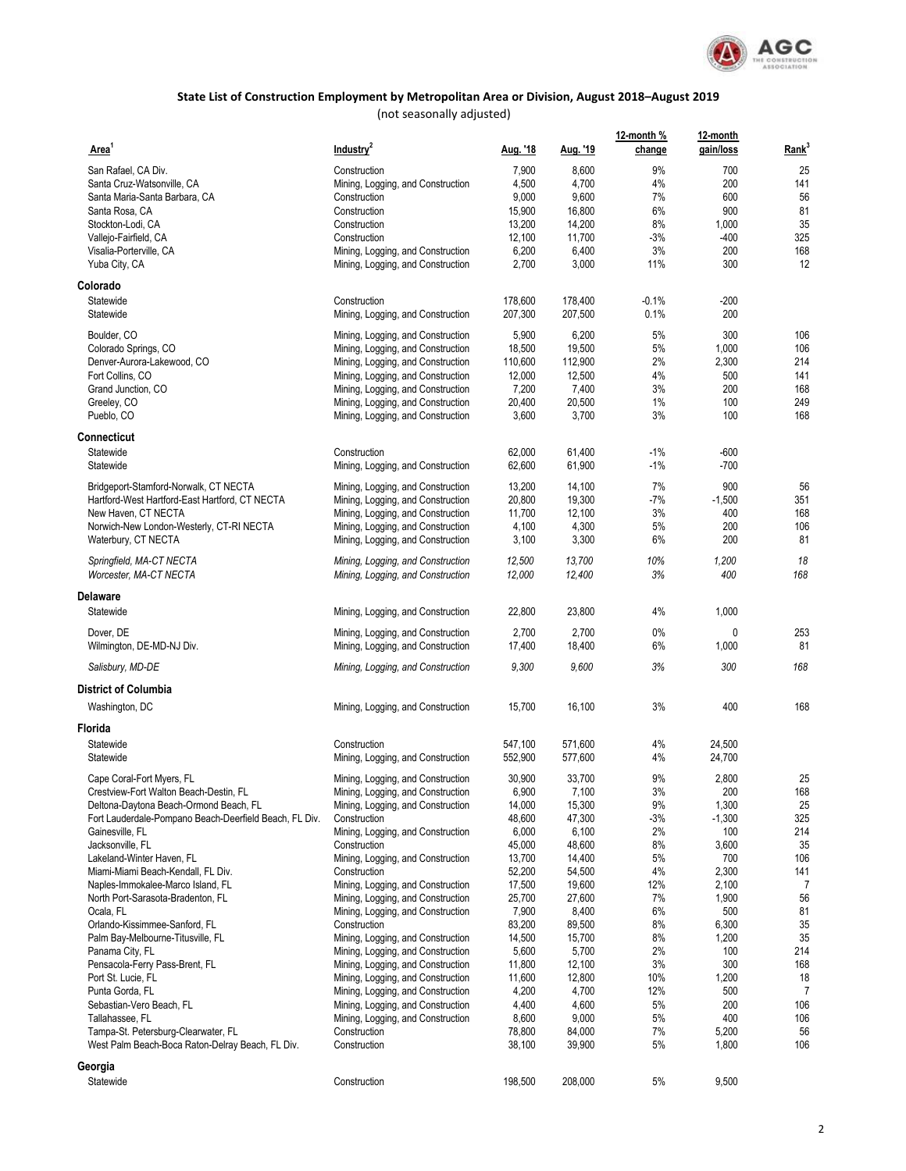

| Area <sup>1</sup>                                      | Industry <sup>2</sup>             | Aug. '18 | Aug. '19 | 12-month %<br>change | 12-month<br>gain/loss | Rank <sup>3</sup> |
|--------------------------------------------------------|-----------------------------------|----------|----------|----------------------|-----------------------|-------------------|
| San Rafael, CA Div.                                    | Construction                      | 7,900    | 8,600    | 9%                   | 700                   | 25                |
| Santa Cruz-Watsonville, CA                             | Mining, Logging, and Construction | 4,500    | 4,700    | 4%                   | 200                   | 141               |
| Santa Maria-Santa Barbara, CA                          | Construction                      | 9,000    | 9,600    | 7%                   | 600                   | 56                |
|                                                        | Construction                      |          | 16,800   | 6%                   | 900                   | 81                |
| Santa Rosa, CA                                         |                                   | 15,900   |          |                      |                       |                   |
| Stockton-Lodi, CA                                      | Construction                      | 13,200   | 14,200   | 8%                   | 1,000                 | 35                |
| Vallejo-Fairfield, CA                                  | Construction                      | 12,100   | 11,700   | $-3%$                | $-400$                | 325               |
| Visalia-Porterville, CA                                | Mining, Logging, and Construction | 6,200    | 6,400    | 3%                   | 200                   | 168               |
| Yuba City, CA                                          | Mining, Logging, and Construction | 2,700    | 3,000    | 11%                  | 300                   | 12                |
| Colorado<br>Statewide                                  | Construction                      |          |          |                      |                       |                   |
|                                                        |                                   | 178,600  | 178,400  | $-0.1%$              | $-200$                |                   |
| Statewide                                              | Mining, Logging, and Construction | 207,300  | 207,500  | 0.1%                 | 200                   |                   |
| Boulder, CO                                            | Mining, Logging, and Construction | 5,900    | 6,200    | 5%                   | 300                   | 106               |
| Colorado Springs, CO                                   | Mining, Logging, and Construction | 18,500   | 19,500   | 5%                   | 1,000                 | 106               |
| Denver-Aurora-Lakewood, CO                             | Mining, Logging, and Construction | 110,600  | 112,900  | 2%                   | 2,300                 | 214               |
| Fort Collins, CO                                       | Mining, Logging, and Construction | 12,000   | 12,500   | 4%                   | 500                   | 141               |
| Grand Junction, CO                                     | Mining, Logging, and Construction | 7,200    | 7,400    | 3%                   | 200                   | 168               |
| Greeley, CO                                            | Mining, Logging, and Construction | 20,400   | 20,500   | 1%                   | 100                   | 249               |
| Pueblo, CO                                             | Mining, Logging, and Construction | 3,600    | 3,700    | 3%                   | 100                   | 168               |
| Connecticut                                            |                                   |          |          |                      |                       |                   |
| Statewide                                              | Construction                      | 62,000   | 61,400   | $-1%$                | $-600$                |                   |
| Statewide                                              | Mining, Logging, and Construction | 62,600   | 61,900   | $-1%$                | $-700$                |                   |
|                                                        |                                   |          |          |                      |                       |                   |
| Bridgeport-Stamford-Norwalk, CT NECTA                  | Mining, Logging, and Construction | 13,200   | 14,100   | 7%                   | 900                   | 56                |
| Hartford-West Hartford-East Hartford, CT NECTA         | Mining, Logging, and Construction | 20,800   | 19,300   | -7%                  | $-1,500$              | 351               |
| New Haven, CT NECTA                                    | Mining, Logging, and Construction | 11,700   | 12,100   | 3%                   | 400                   | 168               |
| Norwich-New London-Westerly, CT-RI NECTA               | Mining, Logging, and Construction | 4,100    | 4,300    | 5%                   | 200                   | 106               |
| Waterbury, CT NECTA                                    | Mining, Logging, and Construction | 3,100    | 3,300    | 6%                   | 200                   | 81                |
| Springfield, MA-CT NECTA                               | Mining, Logging, and Construction | 12,500   | 13,700   | 10%                  | 1,200                 | 18                |
| Worcester, MA-CT NECTA                                 | Mining, Logging, and Construction | 12,000   | 12,400   | 3%                   | 400                   | 168               |
| <b>Delaware</b>                                        |                                   |          |          |                      |                       |                   |
| Statewide                                              | Mining, Logging, and Construction | 22,800   | 23,800   | 4%                   | 1,000                 |                   |
| Dover, DE                                              | Mining, Logging, and Construction | 2,700    | 2,700    | 0%                   | 0                     | 253               |
| Wilmington, DE-MD-NJ Div.                              | Mining, Logging, and Construction | 17,400   | 18,400   | 6%                   | 1,000                 | 81                |
| Salisbury, MD-DE                                       | Mining, Logging, and Construction | 9,300    | 9,600    | 3%                   | 300                   | 168               |
| <b>District of Columbia</b>                            |                                   |          |          |                      |                       |                   |
| Washington, DC                                         | Mining, Logging, and Construction | 15,700   | 16,100   | 3%                   | 400                   | 168               |
| Florida                                                |                                   |          |          |                      |                       |                   |
| Statewide                                              | Construction                      | 547,100  | 571,600  | 4%                   | 24,500                |                   |
| Statewide                                              | Mining, Logging, and Construction | 552,900  | 577,600  | 4%                   | 24,700                |                   |
| Cape Coral-Fort Myers, FL                              | Mining, Logging, and Construction | 30,900   | 33,700   | 9%                   | 2,800                 | 25                |
| Crestview-Fort Walton Beach-Destin, FL                 | Mining, Logging, and Construction | 6,900    | 7,100    | 3%                   | 200                   | 168               |
| Deltona-Daytona Beach-Ormond Beach, FL                 | Mining, Logging, and Construction | 14,000   | 15,300   | $9\%$                | 1,300                 | 25                |
| Fort Lauderdale-Pompano Beach-Deerfield Beach, FL Div. | Construction                      | 48,600   | 47,300   | $-3%$                | $-1,300$              | 325               |
|                                                        | Mining, Logging, and Construction | 6,000    | 6,100    | 2%                   | 100                   | 214               |
| Gainesville, FL                                        |                                   |          |          |                      |                       |                   |
| Jacksonville, FL                                       | Construction                      | 45,000   | 48,600   | 8%                   | 3,600                 | 35                |
| Lakeland-Winter Haven, FL                              | Mining, Logging, and Construction | 13,700   | 14,400   | 5%                   | 700                   | 106               |
| Miami-Miami Beach-Kendall, FL Div.                     | Construction                      | 52,200   | 54,500   | $4\%$                | 2,300                 | 141               |
| Naples-Immokalee-Marco Island, FL                      | Mining, Logging, and Construction | 17,500   | 19,600   | 12%                  | 2,100                 | $\overline{7}$    |
| North Port-Sarasota-Bradenton, FL                      | Mining, Logging, and Construction | 25,700   | 27,600   | 7%                   | 1,900                 | 56                |
| Ocala, FL                                              | Mining, Logging, and Construction | 7,900    | 8,400    | 6%                   | 500                   | 81                |
| Orlando-Kissimmee-Sanford, FL                          | Construction                      | 83,200   | 89,500   | 8%                   | 6,300                 | 35                |
| Palm Bay-Melbourne-Titusville, FL                      | Mining, Logging, and Construction | 14,500   | 15,700   | 8%                   | 1,200                 | 35                |
| Panama City, FL                                        | Mining, Logging, and Construction | 5,600    | 5,700    | 2%                   | 100                   | 214               |
| Pensacola-Ferry Pass-Brent, FL                         | Mining, Logging, and Construction | 11,800   | 12,100   | 3%                   | 300                   | 168               |
| Port St. Lucie, FL                                     | Mining, Logging, and Construction | 11,600   | 12,800   | 10%                  | 1,200                 | 18                |
| Punta Gorda, FL                                        | Mining, Logging, and Construction | 4,200    | 4,700    | 12%                  | 500                   | 7                 |
| Sebastian-Vero Beach, FL                               | Mining, Logging, and Construction | 4,400    | 4,600    | 5%                   | 200                   | 106               |
| Tallahassee, FL                                        | Mining, Logging, and Construction | 8,600    | 9,000    | 5%                   | 400                   | 106               |
| Tampa-St. Petersburg-Clearwater, FL                    | Construction                      | 78,800   | 84,000   | 7%                   | 5,200                 | 56                |
| West Palm Beach-Boca Raton-Delray Beach, FL Div.       | Construction                      | 38,100   | 39,900   | 5%                   | 1,800                 | 106               |
| Georgia                                                |                                   |          |          |                      |                       |                   |
| Statewide                                              | Construction                      | 198,500  | 208,000  | 5%                   | 9,500                 |                   |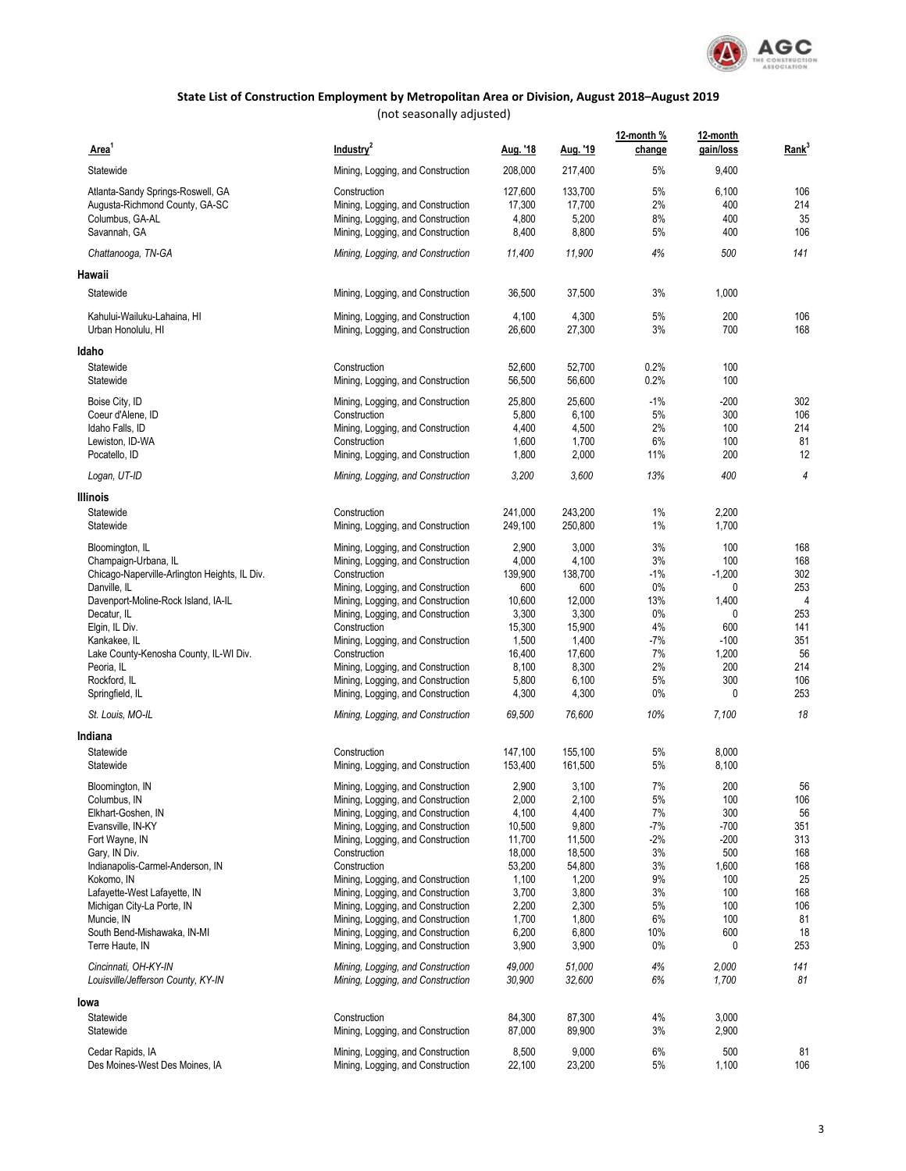

| Area                                                       | Industry <sup>2</sup>                                                  | Aug. '18           | Aug. '19           | 12-month %<br>change | 12-month<br>gain/loss | Rank <sup>3</sup> |
|------------------------------------------------------------|------------------------------------------------------------------------|--------------------|--------------------|----------------------|-----------------------|-------------------|
| Statewide                                                  | Mining, Logging, and Construction                                      | 208,000            | 217,400            | 5%                   | 9,400                 |                   |
| Atlanta-Sandy Springs-Roswell, GA                          | Construction                                                           | 127,600            | 133,700            | 5%                   | 6,100                 | 106               |
| Augusta-Richmond County, GA-SC                             | Mining, Logging, and Construction                                      | 17,300             | 17,700             | 2%                   | 400                   | 214               |
| Columbus, GA-AL                                            | Mining, Logging, and Construction                                      | 4,800              | 5,200              | 8%                   | 400                   | 35                |
| Savannah, GA                                               | Mining, Logging, and Construction                                      | 8,400              | 8,800              | 5%                   | 400                   | 106               |
| Chattanooga, TN-GA                                         | Mining, Logging, and Construction                                      | 11,400             | 11,900             | 4%                   | 500                   | 141               |
| Hawaii                                                     |                                                                        |                    |                    |                      |                       |                   |
| Statewide                                                  | Mining, Logging, and Construction                                      | 36,500             | 37,500             | 3%                   | 1,000                 |                   |
| Kahului-Wailuku-Lahaina. HI<br>Urban Honolulu, HI          | Mining, Logging, and Construction<br>Mining, Logging, and Construction | 4,100<br>26,600    | 4,300<br>27,300    | 5%<br>3%             | 200<br>700            | 106<br>168        |
| Idaho                                                      |                                                                        |                    |                    |                      |                       |                   |
| Statewide                                                  | Construction                                                           | 52,600             | 52,700             | 0.2%                 | 100                   |                   |
| Statewide                                                  | Mining, Logging, and Construction                                      | 56,500             | 56,600             | 0.2%                 | 100                   |                   |
| Boise City, ID                                             | Mining, Logging, and Construction                                      | 25,800             | 25,600             | $-1\%$               | $-200$                | 302               |
| Coeur d'Alene, ID                                          | Construction                                                           | 5,800              | 6,100              | 5%                   | 300                   | 106               |
| Idaho Falls, ID                                            | Mining, Logging, and Construction                                      | 4,400              | 4,500              | 2%                   | 100                   | 214               |
| Lewiston, ID-WA                                            | Construction                                                           | 1,600              | 1,700              | 6%                   | 100                   | 81                |
| Pocatello, ID                                              | Mining, Logging, and Construction                                      | 1,800              | 2,000              | 11%                  | 200                   | 12                |
| Logan, UT-ID                                               | Mining, Logging, and Construction                                      | 3,200              | 3,600              | 13%                  | 400                   | $\overline{4}$    |
| Illinois                                                   |                                                                        |                    |                    |                      |                       |                   |
| Statewide<br>Statewide                                     | Construction<br>Mining, Logging, and Construction                      | 241,000<br>249,100 | 243,200<br>250,800 | 1%<br>1%             | 2,200<br>1,700        |                   |
| Bloomington, IL                                            | Mining, Logging, and Construction                                      | 2,900              | 3,000              | 3%                   | 100                   | 168               |
| Champaign-Urbana, IL                                       | Mining, Logging, and Construction                                      | 4,000              | 4,100              | 3%                   | 100                   | 168               |
| Chicago-Naperville-Arlington Heights, IL Div.              | Construction                                                           | 139,900            | 138,700            | $-1%$                | $-1,200$              | 302               |
| Danville, IL                                               | Mining, Logging, and Construction                                      | 600                | 600                | $0\%$                | 0                     | 253               |
| Davenport-Moline-Rock Island, IA-IL                        | Mining, Logging, and Construction                                      | 10,600             | 12,000             | 13%                  | 1,400                 | $\overline{4}$    |
| Decatur, IL                                                | Mining, Logging, and Construction                                      | 3,300              | 3,300              | $0\%$                | $\mathbf{0}$          | 253               |
| Elgin, IL Div.                                             | Construction                                                           | 15,300             | 15,900             | 4%                   | 600                   | 141               |
| Kankakee, IL                                               | Mining, Logging, and Construction                                      | 1,500              | 1,400              | $-7%$                | $-100$                | 351               |
| Lake County-Kenosha County, IL-WI Div.<br>Peoria, IL       | Construction                                                           | 16,400<br>8,100    | 17,600<br>8,300    | 7%<br>2%             | 1,200<br>200          | 56<br>214         |
| Rockford, IL                                               | Mining, Logging, and Construction<br>Mining, Logging, and Construction | 5,800              | 6,100              | 5%                   | 300                   | 106               |
| Springfield, IL                                            | Mining, Logging, and Construction                                      | 4,300              | 4,300              | $0\%$                | $\mathbf{0}$          | 253               |
| St. Louis, MO-IL                                           | Mining, Logging, and Construction                                      | 69,500             | 76,600             | 10%                  | 7,100                 | 18                |
| Indiana                                                    |                                                                        |                    |                    |                      |                       |                   |
| Statewide                                                  | Construction                                                           | 147,100            | 155,100            | 5%                   | 8,000                 |                   |
| Statewide                                                  | Mining, Logging, and Construction                                      | 153,400            | 161,500            | 5%                   | 8,100                 |                   |
| Bloomington, IN                                            | Mining, Logging, and Construction                                      | 2,900              | 3,100              | 7%                   | 200                   | 56                |
| Columbus, IN                                               | Mining, Logging, and Construction                                      | 2,000              | 2,100              | 5%                   | 100                   | 106               |
| Elkhart-Goshen, IN                                         | Mining, Logging, and Construction                                      | 4,100              | 4,400              | 7%                   | 300                   | 56                |
| Evansville, IN-KY                                          | Mining, Logging, and Construction                                      | 10,500             | 9,800              | -7%                  | $-700$                | 351               |
| Fort Wayne, IN                                             | Mining, Logging, and Construction<br>Construction                      | 11,700<br>18,000   | 11,500<br>18,500   | -2%<br>3%            | $-200$<br>500         | 313<br>168        |
| Gary, IN Div.<br>Indianapolis-Carmel-Anderson, IN          | Construction                                                           | 53,200             | 54,800             | 3%                   | 1,600                 | 168               |
| Kokomo, IN                                                 | Mining, Logging, and Construction                                      | 1,100              | 1,200              | 9%                   | 100                   | 25                |
| Lafayette-West Lafayette, IN                               | Mining, Logging, and Construction                                      | 3,700              | 3,800              | 3%                   | 100                   | 168               |
| Michigan City-La Porte, IN                                 | Mining, Logging, and Construction                                      | 2,200              | 2,300              | 5%                   | 100                   | 106               |
| Muncie, IN                                                 | Mining, Logging, and Construction                                      | 1,700              | 1,800              | 6%                   | 100                   | 81                |
| South Bend-Mishawaka, IN-MI                                | Mining, Logging, and Construction                                      | 6,200              | 6,800              | 10%                  | 600                   | 18                |
| Terre Haute, IN                                            | Mining, Logging, and Construction                                      | 3,900              | 3,900              | 0%                   | 0                     | 253               |
| Cincinnati, OH-KY-IN<br>Louisville/Jefferson County, KY-IN | Mining, Logging, and Construction<br>Mining, Logging, and Construction | 49,000<br>30,900   | 51,000<br>32,600   | 4%<br>6%             | 2,000<br>1,700        | 141<br>81         |
| lowa                                                       |                                                                        |                    |                    |                      |                       |                   |
| Statewide                                                  | Construction                                                           | 84,300             | 87,300             | 4%                   | 3,000                 |                   |
| Statewide                                                  | Mining, Logging, and Construction                                      | 87,000             | 89,900             | 3%                   | 2,900                 |                   |
| Cedar Rapids, IA                                           | Mining, Logging, and Construction                                      | 8,500              | 9,000              | 6%                   | 500                   | 81                |
| Des Moines-West Des Moines, IA                             | Mining, Logging, and Construction                                      | 22,100             | 23,200             | 5%                   | 1,100                 | 106               |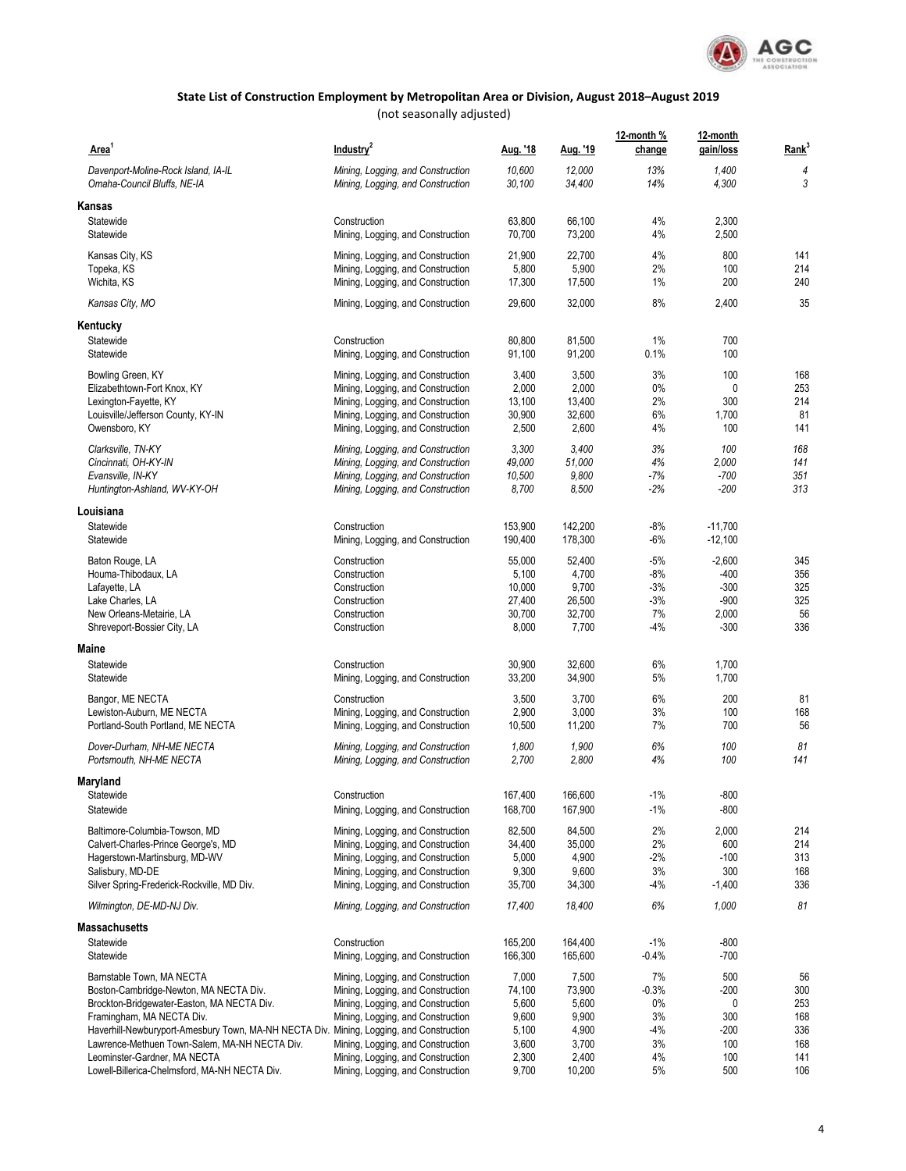

| Area <sup>1</sup>                                                                       | Industry <sup>2</sup>                                                  | Aug. '18           | <u>Aug. '19</u>    | 12-month %<br>change | 12-month<br>gain/loss | Rank <sup>3</sup> |
|-----------------------------------------------------------------------------------------|------------------------------------------------------------------------|--------------------|--------------------|----------------------|-----------------------|-------------------|
| Davenport-Moline-Rock Island, IA-IL                                                     | Mining, Logging, and Construction                                      | 10,600             | 12,000             | 13%                  | 1,400                 | 4                 |
| Omaha-Council Bluffs, NE-IA                                                             | Mining, Logging, and Construction                                      | 30,100             | 34,400             | 14%                  | 4,300                 | 3                 |
| Kansas                                                                                  |                                                                        |                    |                    |                      |                       |                   |
| Statewide<br>Statewide                                                                  | Construction<br>Mining, Logging, and Construction                      | 63,800<br>70,700   | 66,100<br>73,200   | 4%<br>4%             | 2,300<br>2,500        |                   |
|                                                                                         |                                                                        |                    |                    |                      |                       |                   |
| Kansas City, KS                                                                         | Mining, Logging, and Construction                                      | 21,900             | 22,700             | 4%                   | 800                   | 141               |
| Topeka, KS<br>Wichita, KS                                                               | Mining, Logging, and Construction<br>Mining, Logging, and Construction | 5,800<br>17,300    | 5,900<br>17,500    | 2%<br>1%             | 100<br>200            | 214<br>240        |
|                                                                                         |                                                                        |                    | 32,000             | 8%                   | 2,400                 | 35                |
| Kansas City, MO                                                                         | Mining, Logging, and Construction                                      | 29,600             |                    |                      |                       |                   |
| Kentucky                                                                                |                                                                        |                    |                    |                      |                       |                   |
| Statewide<br>Statewide                                                                  | Construction<br>Mining, Logging, and Construction                      | 80,800<br>91,100   | 81,500<br>91,200   | 1%<br>0.1%           | 700<br>100            |                   |
|                                                                                         |                                                                        |                    |                    |                      |                       |                   |
| Bowling Green, KY                                                                       | Mining, Logging, and Construction                                      | 3,400              | 3,500              | 3%                   | 100                   | 168               |
| Elizabethtown-Fort Knox, KY                                                             | Mining, Logging, and Construction                                      | 2,000              | 2,000              | $0\%$                | 0                     | 253               |
| Lexington-Fayette, KY                                                                   | Mining, Logging, and Construction                                      | 13,100             | 13,400             | 2%                   | 300                   | 214               |
| Louisville/Jefferson County, KY-IN                                                      | Mining, Logging, and Construction                                      | 30,900             | 32,600             | 6%                   | 1,700                 | 81                |
| Owensboro, KY                                                                           | Mining, Logging, and Construction                                      | 2,500              | 2,600              | 4%                   | 100                   | 141               |
| Clarksville, TN-KY                                                                      | Mining, Logging, and Construction                                      | 3,300              | 3,400              | 3%                   | 100                   | 168               |
| Cincinnati, OH-KY-IN                                                                    | Mining, Logging, and Construction                                      | 49,000             | 51,000             | 4%                   | 2,000                 | 141               |
| Evansville, IN-KY                                                                       | Mining, Logging, and Construction                                      | 10,500             | 9,800              | -7%                  | $-700$                | 351               |
| Huntington-Ashland, WV-KY-OH                                                            | Mining, Logging, and Construction                                      | 8,700              | 8,500              | -2%                  | $-200$                | 313               |
| Louisiana                                                                               |                                                                        |                    |                    |                      |                       |                   |
| Statewide                                                                               | Construction                                                           | 153,900            | 142,200            | $-8%$                | $-11,700$             |                   |
| Statewide                                                                               | Mining, Logging, and Construction                                      | 190,400            | 178,300            | -6%                  | $-12,100$             |                   |
| Baton Rouge, LA                                                                         | Construction                                                           | 55,000             | 52,400             | $-5%$                | $-2,600$              | 345               |
| Houma-Thibodaux, LA                                                                     | Construction                                                           | 5,100              | 4,700              | $-8%$                | $-400$                | 356               |
| Lafayette, LA                                                                           | Construction                                                           | 10,000             | 9,700              | $-3%$                | $-300$                | 325               |
| Lake Charles, LA                                                                        | Construction                                                           | 27,400             | 26,500             | $-3%$                | $-900$                | 325               |
| New Orleans-Metairie, LA                                                                | Construction                                                           | 30,700             | 32,700             | 7%                   | 2,000                 | 56                |
| Shreveport-Bossier City, LA                                                             | Construction                                                           | 8,000              | 7,700              | $-4%$                | $-300$                | 336               |
| Maine                                                                                   |                                                                        |                    |                    |                      |                       |                   |
| Statewide                                                                               | Construction                                                           | 30,900             | 32,600             | 6%                   | 1,700                 |                   |
| Statewide                                                                               | Mining, Logging, and Construction                                      | 33,200             | 34,900             | 5%                   | 1,700                 |                   |
| Bangor, ME NECTA                                                                        | Construction                                                           | 3,500              | 3,700              | 6%                   | 200                   | 81                |
| Lewiston-Auburn, ME NECTA                                                               | Mining, Logging, and Construction                                      | 2,900              | 3,000              | 3%                   | 100                   | 168               |
| Portland-South Portland, ME NECTA                                                       | Mining, Logging, and Construction                                      | 10,500             | 11,200             | 7%                   | 700                   | 56                |
| Dover-Durham, NH-ME NECTA                                                               | Mining, Logging, and Construction                                      | 1,800              | 1,900              | 6%                   | 100                   | 81                |
| Portsmouth, NH-ME NECTA                                                                 | Mining, Logging, and Construction                                      | 2,700              | 2,800              | 4%                   | 100                   | 141               |
| Maryland                                                                                |                                                                        |                    |                    |                      |                       |                   |
| Statewide                                                                               | Construction                                                           | 167,400            | 166,600            | $-1\%$               | $-800$                |                   |
| Statewide                                                                               | Mining, Logging, and Construction                                      | 168,700            | 167,900            | -1%                  | $-800$                |                   |
| Baltimore-Columbia-Towson, MD                                                           | Mining, Logging, and Construction                                      | 82,500             | 84,500             | 2%                   | 2,000                 | 214               |
| Calvert-Charles-Prince George's, MD                                                     | Mining, Logging, and Construction                                      | 34,400             | 35,000             | 2%                   | 600                   | 214               |
| Hagerstown-Martinsburg, MD-WV                                                           | Mining, Logging, and Construction                                      | 5,000              | 4,900              | $-2\%$               | $-100$                | 313               |
| Salisbury, MD-DE                                                                        | Mining, Logging, and Construction                                      | 9,300              | 9,600              | 3%                   | 300                   | 168               |
| Silver Spring-Frederick-Rockville, MD Div.                                              | Mining, Logging, and Construction                                      | 35,700             | 34,300             | -4%                  | $-1,400$              | 336               |
| Wilmington, DE-MD-NJ Div.                                                               | Mining, Logging, and Construction                                      | 17,400             | 18,400             | 6%                   | 1,000                 | 81                |
| <b>Massachusetts</b>                                                                    |                                                                        |                    |                    |                      |                       |                   |
| Statewide                                                                               | Construction                                                           | 165,200<br>166,300 | 164,400<br>165,600 | $-1\%$<br>-0.4%      | $-800$<br>$-700$      |                   |
| Statewide                                                                               | Mining, Logging, and Construction                                      |                    |                    |                      |                       |                   |
| Barnstable Town, MA NECTA                                                               | Mining, Logging, and Construction                                      | 7,000              | 7,500              | 7%                   | 500                   | 56                |
| Boston-Cambridge-Newton, MA NECTA Div.<br>Brockton-Bridgewater-Easton, MA NECTA Div.    | Mining, Logging, and Construction<br>Mining, Logging, and Construction | 74,100<br>5,600    | 73,900<br>5,600    | -0.3%<br>$0\%$       | -200<br>0             | 300<br>253        |
| Framingham, MA NECTA Div.                                                               | Mining, Logging, and Construction                                      | 9,600              | 9,900              | 3%                   | 300                   | 168               |
| Haverhill-Newburyport-Amesbury Town, MA-NH NECTA Div. Mining, Logging, and Construction |                                                                        | 5,100              | 4,900              | -4%                  | -200                  | 336               |
| Lawrence-Methuen Town-Salem, MA-NH NECTA Div.                                           | Mining, Logging, and Construction                                      | 3,600              | 3,700              | 3%                   | 100                   | 168               |
| Leominster-Gardner, MA NECTA                                                            | Mining, Logging, and Construction                                      | 2,300              | 2,400              | 4%                   | 100                   | 141               |
| Lowell-Billerica-Chelmsford, MA-NH NECTA Div.                                           | Mining, Logging, and Construction                                      | 9,700              | 10,200             | 5%                   | 500                   | 106               |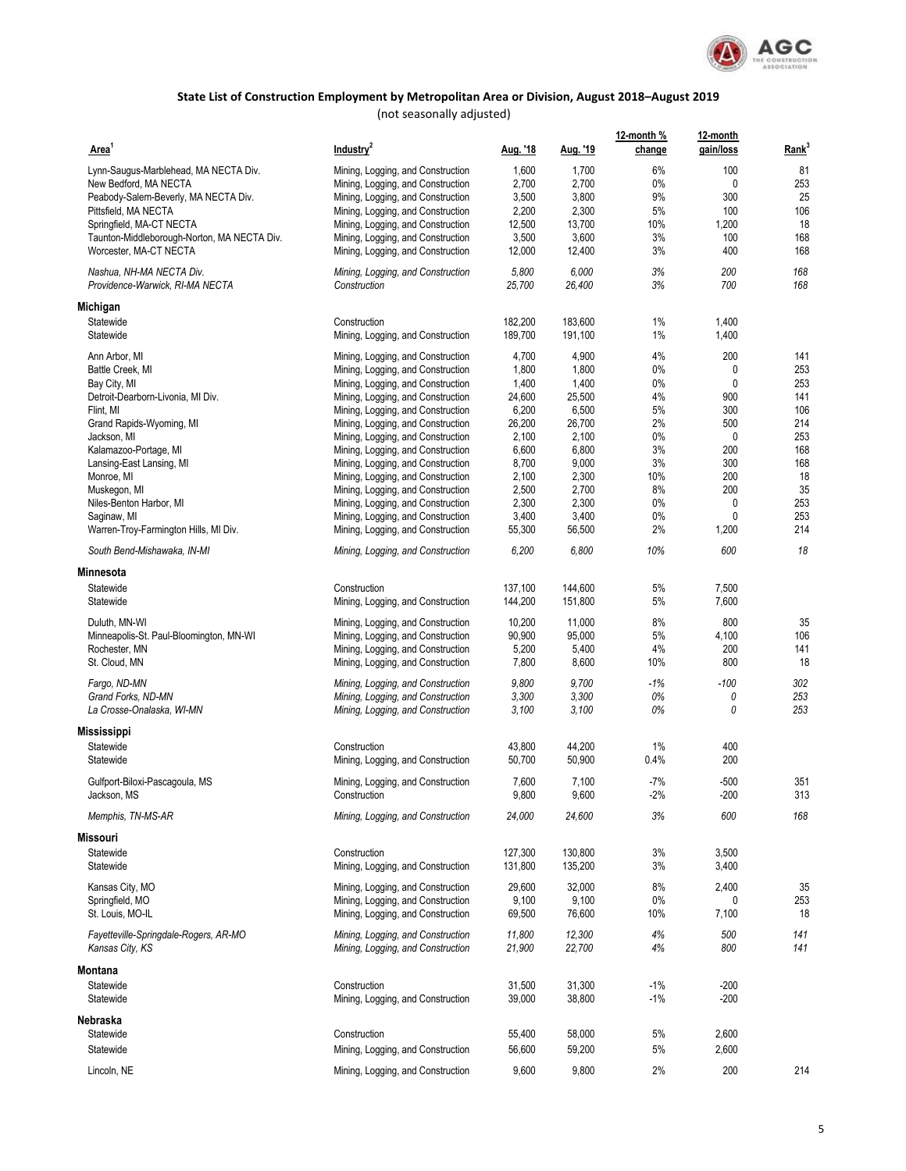

| Area <sup>1</sup>                                           | Industry <sup>2</sup>                                                  | Aug. '18        | Aug. '19        | 12-month %<br>change | 12-month<br>gain/loss | Rank <sup>3</sup> |
|-------------------------------------------------------------|------------------------------------------------------------------------|-----------------|-----------------|----------------------|-----------------------|-------------------|
| Lynn-Saugus-Marblehead, MA NECTA Div.                       | Mining, Logging, and Construction                                      | 1,600           | 1,700           | 6%                   | 100                   | 81                |
| New Bedford, MA NECTA                                       | Mining, Logging, and Construction                                      | 2,700           | 2,700           | 0%                   | 0                     | 253               |
| Peabody-Salem-Beverly, MA NECTA Div.                        | Mining, Logging, and Construction                                      | 3,500           | 3,800           | 9%                   | 300                   | 25                |
| Pittsfield, MA NECTA                                        | Mining, Logging, and Construction                                      | 2,200           | 2,300           | 5%                   | 100                   | 106               |
| Springfield, MA-CT NECTA                                    | Mining, Logging, and Construction                                      | 12,500          | 13,700          | 10%                  | 1,200                 | 18                |
| Taunton-Middleborough-Norton, MA NECTA Div.                 | Mining, Logging, and Construction                                      | 3,500           | 3,600           | 3%                   | 100                   | 168               |
| Worcester, MA-CT NECTA                                      | Mining, Logging, and Construction                                      | 12,000          | 12,400          | 3%                   | 400                   | 168               |
| Nashua, NH-MA NECTA Div.<br>Providence-Warwick, RI-MA NECTA | Mining, Logging, and Construction<br>Construction                      | 5,800<br>25,700 | 6,000<br>26,400 | 3%<br>3%             | 200<br>700            | 168<br>168        |
| Michigan                                                    |                                                                        |                 |                 |                      |                       |                   |
| Statewide                                                   | Construction                                                           | 182,200         | 183,600         | $1\%$                | 1,400                 |                   |
| Statewide                                                   | Mining, Logging, and Construction                                      | 189,700         | 191,100         | 1%                   | 1,400                 |                   |
| Ann Arbor, MI                                               | Mining, Logging, and Construction                                      | 4,700           | 4,900           | 4%                   | 200                   | 141               |
| Battle Creek, MI                                            | Mining, Logging, and Construction                                      | 1,800           | 1,800           | 0%                   | 0                     | 253               |
| Bay City, MI                                                | Mining, Logging, and Construction                                      | 1,400           | 1,400           | 0%                   | 0                     | 253               |
| Detroit-Dearborn-Livonia, MI Div.                           | Mining, Logging, and Construction                                      | 24,600          | 25,500          | 4%                   | 900                   | 141               |
| Flint, MI                                                   | Mining, Logging, and Construction                                      | 6,200           | 6,500           | 5%                   | 300                   | 106               |
| Grand Rapids-Wyoming, MI                                    | Mining, Logging, and Construction                                      | 26,200          | 26,700          | 2%                   | 500                   | 214               |
| Jackson, MI                                                 | Mining, Logging, and Construction                                      | 2,100           | 2,100           | 0%                   | 0                     | 253               |
| Kalamazoo-Portage, MI                                       | Mining, Logging, and Construction                                      | 6,600           | 6,800           | 3%                   | 200                   | 168               |
| Lansing-East Lansing, MI                                    | Mining, Logging, and Construction                                      | 8,700           | 9,000           | 3%                   | 300                   | 168               |
| Monroe, MI                                                  | Mining, Logging, and Construction                                      | 2,100           | 2,300           | 10%<br>8%            | 200<br>200            | 18<br>35          |
| Muskegon, MI<br>Niles-Benton Harbor, MI                     | Mining, Logging, and Construction<br>Mining, Logging, and Construction | 2,500<br>2,300  | 2,700<br>2,300  | 0%                   | 0                     | 253               |
| Saginaw, MI                                                 | Mining, Logging, and Construction                                      | 3,400           | 3,400           | 0%                   | 0                     | 253               |
| Warren-Troy-Farmington Hills, MI Div.                       | Mining, Logging, and Construction                                      | 55,300          | 56,500          | 2%                   | 1,200                 | 214               |
| South Bend-Mishawaka, IN-MI                                 | Mining, Logging, and Construction                                      | 6,200           | 6,800           | 10%                  | 600                   | 18                |
| Minnesota                                                   |                                                                        |                 |                 |                      |                       |                   |
| Statewide                                                   | Construction                                                           | 137,100         | 144,600         | 5%                   | 7,500                 |                   |
| Statewide                                                   | Mining, Logging, and Construction                                      | 144,200         | 151,800         | 5%                   | 7,600                 |                   |
| Duluth, MN-WI                                               | Mining, Logging, and Construction                                      | 10,200          | 11,000          | 8%                   | 800                   | 35                |
| Minneapolis-St. Paul-Bloomington, MN-WI                     | Mining, Logging, and Construction                                      | 90,900          | 95,000          | 5%                   | 4,100                 | 106               |
| Rochester, MN                                               | Mining, Logging, and Construction                                      | 5,200           | 5,400           | 4%                   | 200                   | 141               |
| St. Cloud, MN                                               | Mining, Logging, and Construction                                      | 7,800           | 8,600           | 10%                  | 800                   | 18                |
| Fargo, ND-MN                                                | Mining, Logging, and Construction                                      | 9,800           | 9,700           | $-1%$                | $-100$                | 302               |
| Grand Forks, ND-MN                                          | Mining, Logging, and Construction                                      | 3,300           | 3,300           | 0%                   | 0                     | 253               |
| La Crosse-Onalaska, WI-MN                                   | Mining, Logging, and Construction                                      | 3,100           | 3,100           | 0%                   | 0                     | 253               |
| Mississippi                                                 |                                                                        |                 |                 |                      |                       |                   |
| Statewide                                                   | Construction                                                           | 43,800          | 44,200          | 1%                   | 400                   |                   |
| Statewide                                                   | Mining, Logging, and Construction                                      | 50,700          | 50,900          | 0.4%                 | 200                   |                   |
| Gulfport-Biloxi-Pascagoula, MS                              | Mining, Logging, and Construction                                      | 7,600           | 7,100           | $-7%$                | $-500$                | 351               |
| Jackson, MS                                                 | Construction                                                           | 9,800           | 9,600           | -2%                  | $-200$                | 313               |
| Memphis, TN-MS-AR                                           | Mining, Logging, and Construction                                      | 24,000          | 24,600          | 3%                   | 600                   | 168               |
| Missouri                                                    |                                                                        |                 |                 |                      |                       |                   |
| Statewide                                                   | Construction                                                           | 127,300         | 130,800         | 3%                   | 3,500                 |                   |
| Statewide                                                   | Mining, Logging, and Construction                                      | 131,800         | 135,200         | 3%                   | 3,400                 |                   |
| Kansas City, MO                                             | Mining, Logging, and Construction                                      | 29,600          | 32,000          | 8%                   | 2,400                 | 35                |
| Springfield, MO                                             | Mining, Logging, and Construction                                      | 9,100           | 9,100           | 0%                   | 0                     | 253               |
| St. Louis, MO-IL                                            | Mining, Logging, and Construction                                      | 69,500          | 76,600          | 10%                  | 7,100                 | 18                |
| Fayetteville-Springdale-Rogers, AR-MO                       | Mining, Logging, and Construction                                      | 11,800          | 12,300          | 4%                   | 500                   | 141               |
| Kansas City, KS                                             | Mining, Logging, and Construction                                      | 21,900          | 22,700          | 4%                   | 800                   | 141               |
| Montana                                                     |                                                                        |                 |                 |                      |                       |                   |
| Statewide                                                   | Construction                                                           | 31,500          | 31,300          | $-1%$                | $-200$                |                   |
| Statewide                                                   | Mining, Logging, and Construction                                      | 39,000          | 38,800          | $-1%$                | $-200$                |                   |
| Nebraska                                                    |                                                                        |                 |                 |                      |                       |                   |
| Statewide                                                   | Construction                                                           | 55,400          | 58,000          | 5%                   | 2,600                 |                   |
| Statewide                                                   | Mining, Logging, and Construction                                      | 56,600          | 59,200          | 5%                   | 2,600                 |                   |
| Lincoln, NE                                                 | Mining, Logging, and Construction                                      | 9,600           | 9,800           | 2%                   | 200                   | 214               |
|                                                             |                                                                        |                 |                 |                      |                       |                   |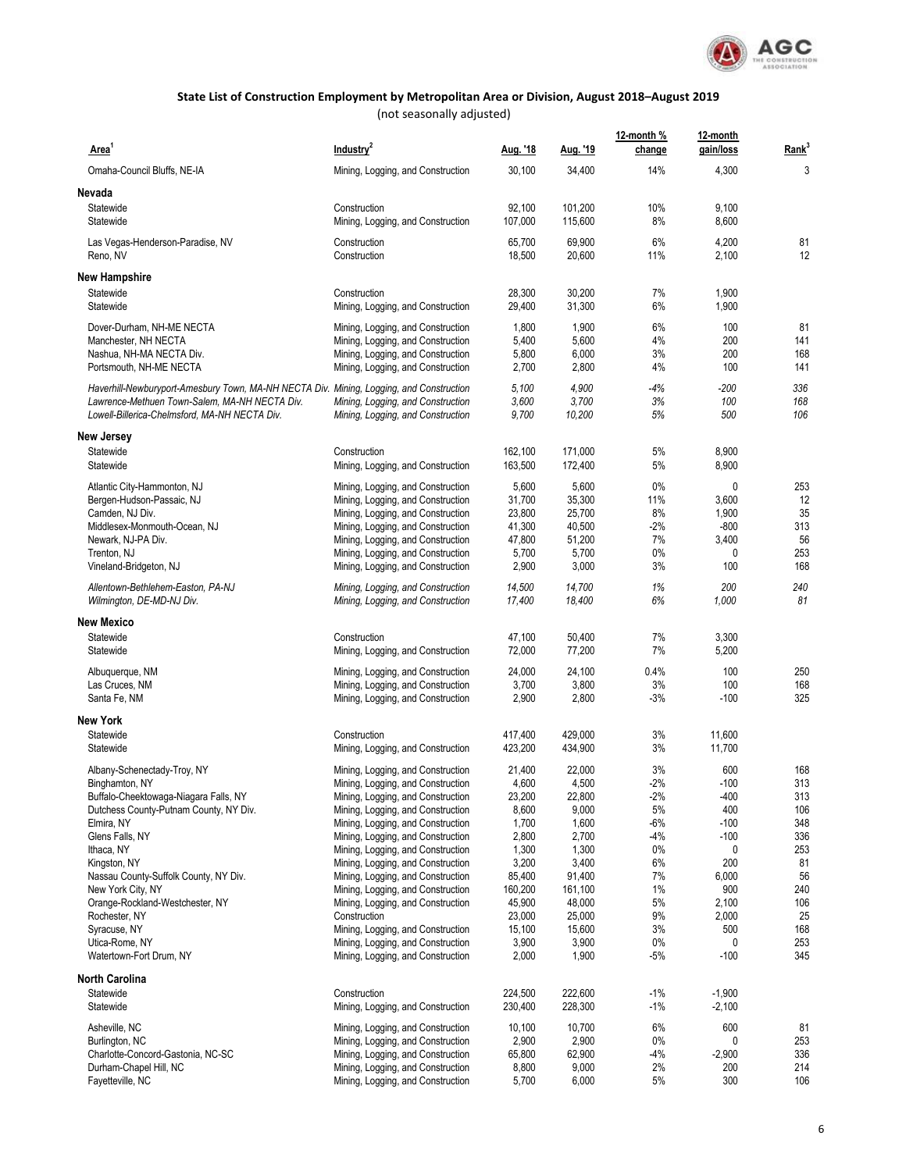

| Area <sup>1</sup>                                                                       | Industry <sup>2</sup>                                                  | Aug. '18           | <u>Aug. '19</u>    | 12-month %<br>change | 12-month<br>gain/loss | Rank <sup>3</sup> |
|-----------------------------------------------------------------------------------------|------------------------------------------------------------------------|--------------------|--------------------|----------------------|-----------------------|-------------------|
| Omaha-Council Bluffs, NE-IA                                                             | Mining, Logging, and Construction                                      | 30,100             | 34,400             | 14%                  | 4,300                 | 3                 |
| Nevada                                                                                  |                                                                        |                    |                    |                      |                       |                   |
| Statewide<br>Statewide                                                                  | Construction<br>Mining, Logging, and Construction                      | 92,100<br>107,000  | 101,200<br>115,600 | 10%<br>8%            | 9,100<br>8,600        |                   |
| Las Vegas-Henderson-Paradise, NV<br>Reno, NV                                            | Construction<br>Construction                                           | 65,700<br>18,500   | 69,900<br>20,600   | 6%<br>11%            | 4,200<br>2,100        | 81<br>12          |
| <b>New Hampshire</b>                                                                    |                                                                        |                    |                    |                      |                       |                   |
| Statewide<br>Statewide                                                                  | Construction<br>Mining, Logging, and Construction                      | 28,300<br>29,400   | 30,200<br>31,300   | 7%<br>6%             | 1,900<br>1,900        |                   |
| Dover-Durham, NH-ME NECTA                                                               | Mining, Logging, and Construction                                      | 1,800              | 1,900              | 6%                   | 100                   | 81                |
| Manchester, NH NECTA                                                                    | Mining, Logging, and Construction                                      | 5,400              | 5,600              | 4%                   | 200                   | 141               |
| Nashua, NH-MA NECTA Div.<br>Portsmouth, NH-ME NECTA                                     | Mining, Logging, and Construction<br>Mining, Logging, and Construction | 5,800<br>2,700     | 6,000<br>2,800     | 3%<br>4%             | 200<br>100            | 168<br>141        |
| Haverhill-Newburyport-Amesbury Town, MA-NH NECTA Div. Mining, Logging, and Construction |                                                                        | 5,100              | 4,900              | -4%                  | $-200$                | 336               |
| Lawrence-Methuen Town-Salem, MA-NH NECTA Div.                                           | Mining, Logging, and Construction                                      | 3,600              | 3,700              | 3%                   | 100                   | 168               |
| Lowell-Billerica-Chelmsford, MA-NH NECTA Div.                                           | Mining, Logging, and Construction                                      | 9,700              | 10,200             | 5%                   | 500                   | 106               |
| <b>New Jersey</b>                                                                       |                                                                        |                    |                    |                      |                       |                   |
| Statewide<br>Statewide                                                                  | Construction<br>Mining, Logging, and Construction                      | 162,100<br>163,500 | 171,000<br>172,400 | 5%<br>5%             | 8,900<br>8,900        |                   |
| Atlantic City-Hammonton, NJ                                                             | Mining, Logging, and Construction                                      | 5,600              | 5,600              | 0%                   | 0                     | 253               |
| Bergen-Hudson-Passaic, NJ                                                               | Mining, Logging, and Construction                                      | 31,700             | 35,300             | 11%                  | 3,600                 | 12                |
| Camden, NJ Div.                                                                         | Mining, Logging, and Construction                                      | 23,800             | 25,700             | 8%                   | 1,900                 | 35                |
| Middlesex-Monmouth-Ocean, NJ                                                            | Mining, Logging, and Construction                                      | 41,300             | 40,500             | -2%                  | $-800$                | 313               |
| Newark, NJ-PA Div.                                                                      | Mining, Logging, and Construction                                      | 47,800             | 51,200             | 7%                   | 3,400                 | 56                |
| Trenton, NJ                                                                             | Mining, Logging, and Construction                                      | 5,700              | 5,700              | $0\%$                | 0                     | 253<br>168        |
| Vineland-Bridgeton, NJ                                                                  | Mining, Logging, and Construction                                      | 2,900              | 3,000              | 3%                   | 100                   |                   |
| Allentown-Bethlehem-Easton, PA-NJ<br>Wilmington, DE-MD-NJ Div.                          | Mining, Logging, and Construction<br>Mining, Logging, and Construction | 14,500<br>17,400   | 14,700<br>18,400   | 1%<br>6%             | 200<br>1,000          | 240<br>81         |
| <b>New Mexico</b>                                                                       |                                                                        |                    |                    |                      |                       |                   |
| Statewide                                                                               | Construction                                                           | 47,100             | 50,400             | 7%                   | 3,300                 |                   |
| Statewide                                                                               | Mining, Logging, and Construction                                      | 72,000             | 77,200             | 7%                   | 5,200                 |                   |
| Albuquerque, NM                                                                         | Mining, Logging, and Construction                                      | 24,000             | 24,100             | 0.4%                 | 100                   | 250               |
| Las Cruces, NM<br>Santa Fe, NM                                                          | Mining, Logging, and Construction<br>Mining, Logging, and Construction | 3,700<br>2,900     | 3,800<br>2,800     | 3%<br>$-3%$          | 100<br>$-100$         | 168<br>325        |
| <b>New York</b>                                                                         |                                                                        |                    |                    |                      |                       |                   |
| Statewide                                                                               | Construction                                                           | 417,400            | 429,000            | 3%                   | 11,600                |                   |
| Statewide                                                                               | Mining, Logging, and Construction                                      | 423,200            | 434,900            | 3%                   | 11,700                |                   |
| Albany-Schenectady-Troy, NY                                                             | Mining, Logging, and Construction                                      | 21,400             | 22,000             | 3%                   | 600                   | 168               |
| Binghamton, NY                                                                          | Mining, Logging, and Construction                                      | 4,600              | 4,500              | -2%                  | -100                  | 313               |
| Buffalo-Cheektowaga-Niagara Falls, NY                                                   | Mining, Logging, and Construction                                      | 23,200             | 22,800             | $-2%$                | $-400$                | 313               |
| Dutchess County-Putnam County, NY Div.                                                  | Mining, Logging, and Construction                                      | 8,600              | 9,000              | 5%                   | 400                   | 106               |
| Elmira, NY                                                                              | Mining, Logging, and Construction                                      | 1,700              | 1,600              | $-6%$                | $-100$                | 348               |
| Glens Falls, NY                                                                         | Mining, Logging, and Construction                                      | 2,800              | 2,700              | $-4%$                | $-100$                | 336               |
| Ithaca, NY<br>Kingston, NY                                                              | Mining, Logging, and Construction<br>Mining, Logging, and Construction | 1,300<br>3,200     | 1,300<br>3,400     | 0%<br>6%             | 0<br>200              | 253<br>81         |
| Nassau County-Suffolk County, NY Div.                                                   | Mining, Logging, and Construction                                      | 85,400             | 91,400             | 7%                   | 6,000                 | 56                |
| New York City, NY                                                                       | Mining, Logging, and Construction                                      | 160,200            | 161,100            | 1%                   | 900                   | 240               |
| Orange-Rockland-Westchester, NY                                                         | Mining, Logging, and Construction                                      | 45,900             | 48,000             | 5%                   | 2,100                 | 106               |
| Rochester, NY                                                                           | Construction                                                           | 23,000             | 25,000             | 9%                   | 2,000                 | 25                |
| Syracuse, NY                                                                            | Mining, Logging, and Construction                                      | 15,100             | 15,600             | 3%                   | 500                   | 168               |
| Utica-Rome, NY<br>Watertown-Fort Drum, NY                                               | Mining, Logging, and Construction<br>Mining, Logging, and Construction | 3,900<br>2,000     | 3,900<br>1,900     | 0%<br>$-5%$          | 0<br>$-100$           | 253<br>345        |
|                                                                                         |                                                                        |                    |                    |                      |                       |                   |
| <b>North Carolina</b><br>Statewide                                                      | Construction                                                           | 224,500            | 222,600            | $-1%$                | $-1,900$              |                   |
| Statewide                                                                               | Mining, Logging, and Construction                                      | 230,400            | 228,300            | $-1%$                | $-2,100$              |                   |
| Asheville, NC                                                                           | Mining, Logging, and Construction                                      | 10,100             | 10,700             | 6%                   | 600                   | 81                |
| Burlington, NC                                                                          | Mining, Logging, and Construction                                      | 2,900              | 2,900              | 0%                   | 0                     | 253               |
| Charlotte-Concord-Gastonia, NC-SC                                                       | Mining, Logging, and Construction                                      | 65,800             | 62,900             | -4%                  | $-2,900$              | 336               |
| Durham-Chapel Hill, NC                                                                  | Mining, Logging, and Construction                                      | 8,800              | 9,000              | 2%                   | 200                   | 214               |
| Fayetteville, NC                                                                        | Mining, Logging, and Construction                                      | 5,700              | 6,000              | 5%                   | 300                   | 106               |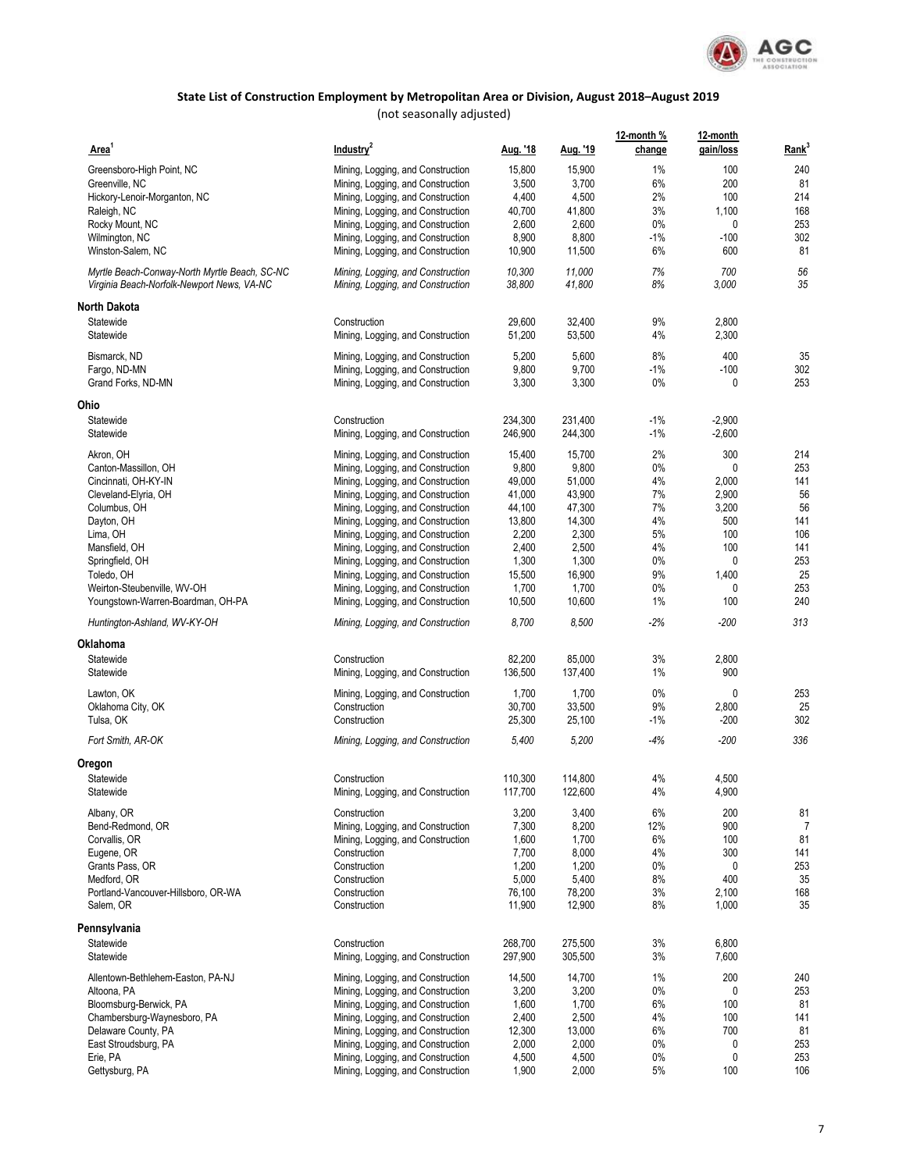

| Area <sup>1</sup>                                                                           | Industry <sup>2</sup>                                                  | Aug. '18         | <u>Aug. '19</u>  | 12-month %<br>change | 12-month<br>gain/loss | Rank <sup>3</sup> |
|---------------------------------------------------------------------------------------------|------------------------------------------------------------------------|------------------|------------------|----------------------|-----------------------|-------------------|
| Greensboro-High Point, NC                                                                   | Mining, Logging, and Construction                                      | 15,800           | 15,900           | 1%                   | 100                   | 240               |
| Greenville, NC                                                                              | Mining, Logging, and Construction                                      | 3,500            | 3,700            | 6%                   | 200                   | 81                |
| Hickory-Lenoir-Morganton, NC                                                                | Mining, Logging, and Construction                                      | 4,400            | 4,500            | 2%                   | 100                   | 214               |
| Raleigh, NC                                                                                 | Mining, Logging, and Construction                                      | 40,700           | 41,800           | 3%                   | 1,100                 | 168               |
| Rocky Mount, NC                                                                             | Mining, Logging, and Construction                                      | 2,600            | 2,600            | $0\%$                | 0                     | 253               |
| Wilmington, NC                                                                              | Mining, Logging, and Construction                                      | 8,900            | 8,800            | $-1%$                | $-100$                | 302               |
| Winston-Salem, NC                                                                           | Mining, Logging, and Construction                                      | 10,900           | 11,500           | 6%                   | 600                   | 81                |
| Myrtle Beach-Conway-North Myrtle Beach, SC-NC<br>Virginia Beach-Norfolk-Newport News, VA-NC | Mining, Logging, and Construction<br>Mining, Logging, and Construction | 10,300<br>38,800 | 11.000<br>41,800 | 7%<br>8%             | 700<br>3,000          | 56<br>35          |
| North Dakota                                                                                |                                                                        |                  |                  |                      |                       |                   |
| Statewide                                                                                   | Construction                                                           | 29,600           | 32,400           | 9%                   | 2,800                 |                   |
| Statewide                                                                                   | Mining, Logging, and Construction                                      | 51,200           | 53,500           | 4%                   | 2,300                 |                   |
| Bismarck, ND                                                                                | Mining, Logging, and Construction                                      | 5,200            | 5,600            | 8%                   | 400                   | 35                |
| Fargo, ND-MN<br>Grand Forks, ND-MN                                                          | Mining, Logging, and Construction<br>Mining, Logging, and Construction | 9,800<br>3,300   | 9,700<br>3,300   | $-1%$<br>$0\%$       | $-100$<br>0           | 302<br>253        |
|                                                                                             |                                                                        |                  |                  |                      |                       |                   |
| Ohio<br>Statewide                                                                           | Construction                                                           | 234,300          | 231,400          | $-1\%$               | $-2,900$              |                   |
| Statewide                                                                                   | Mining, Logging, and Construction                                      | 246,900          | 244,300          | $-1\%$               | $-2,600$              |                   |
| Akron, OH                                                                                   | Mining, Logging, and Construction                                      | 15,400           | 15,700           | 2%                   | 300                   | 214               |
| Canton-Massillon, OH                                                                        | Mining, Logging, and Construction                                      | 9,800            | 9,800            | 0%                   | 0                     | 253               |
| Cincinnati, OH-KY-IN                                                                        | Mining, Logging, and Construction                                      | 49,000           | 51,000           | 4%                   | 2,000                 | 141               |
| Cleveland-Elyria, OH                                                                        | Mining, Logging, and Construction                                      | 41,000           | 43,900           | 7%                   | 2,900                 | 56                |
| Columbus, OH                                                                                | Mining, Logging, and Construction                                      | 44,100           | 47,300           | 7%                   | 3,200                 | 56                |
| Dayton, OH                                                                                  | Mining, Logging, and Construction                                      | 13,800           | 14,300           | 4%                   | 500                   | 141               |
| Lima, OH                                                                                    | Mining, Logging, and Construction                                      | 2,200            | 2,300            | 5%                   | 100                   | 106               |
| Mansfield, OH                                                                               | Mining, Logging, and Construction                                      | 2,400            | 2,500            | 4%                   | 100                   | 141               |
| Springfield, OH                                                                             | Mining, Logging, and Construction                                      | 1,300            | 1,300            | $0\%$                | 0                     | 253               |
| Toledo, OH                                                                                  | Mining, Logging, and Construction                                      | 15,500           | 16,900           | 9%                   | 1,400                 | 25                |
| Weirton-Steubenville, WV-OH                                                                 | Mining, Logging, and Construction                                      | 1,700            | 1,700            | $0\%$                | 0                     | 253               |
| Youngstown-Warren-Boardman, OH-PA                                                           | Mining, Logging, and Construction                                      | 10,500           | 10,600           | 1%                   | 100                   | 240               |
| Huntington-Ashland, WV-KY-OH                                                                | Mining, Logging, and Construction                                      | 8,700            | 8,500            | -2%                  | $-200$                | 313               |
| <b>Oklahoma</b>                                                                             |                                                                        |                  |                  |                      |                       |                   |
| Statewide                                                                                   | Construction                                                           | 82,200           | 85,000           | 3%                   | 2,800                 |                   |
| Statewide                                                                                   | Mining, Logging, and Construction                                      | 136,500          | 137,400          | 1%                   | 900                   |                   |
| Lawton, OK                                                                                  | Mining, Logging, and Construction                                      | 1,700            | 1,700            | $0\%$                | 0                     | 253               |
| Oklahoma City, OK                                                                           | Construction                                                           | 30,700           | 33,500           | 9%                   | 2,800                 | 25                |
| Tulsa, OK                                                                                   | Construction                                                           | 25,300           | 25,100           | $-1\%$               | $-200$                | 302               |
| Fort Smith, AR-OK                                                                           | Mining, Logging, and Construction                                      | 5,400            | 5,200            | $-4%$                | $-200$                | 336               |
| Oregon                                                                                      |                                                                        |                  |                  |                      |                       |                   |
| Statewide                                                                                   | Construction                                                           | 110,300          | 114,800          | 4%                   | 4,500                 |                   |
| Statewide                                                                                   | Mining, Logging, and Construction                                      | 117,700          | 122,600          | 4%                   | 4,900                 |                   |
| Albany, OR                                                                                  | Construction                                                           | 3,200            | 3,400            | 6%                   | 200                   | 81                |
| Bend-Redmond, OR                                                                            | Mining, Logging, and Construction                                      | 7,300            | 8,200            | 12%                  | 900                   | 7                 |
| Corvallis, OR                                                                               | Mining, Logging, and Construction                                      | 1,600            | 1,700            | 6%                   | 100                   | 81                |
| Eugene, OR                                                                                  | Construction                                                           | 7,700            | 8,000            | 4%                   | 300                   | 141               |
| Grants Pass, OR                                                                             | Construction                                                           | 1,200            | 1,200            | 0%                   | 0                     | 253               |
| Medford, OR                                                                                 | Construction                                                           | 5,000            | 5,400            | 8%                   | 400                   | 35                |
| Portland-Vancouver-Hillsboro, OR-WA                                                         | Construction                                                           | 76,100           | 78,200           | 3%                   | 2,100                 | 168               |
| Salem, OR                                                                                   | Construction                                                           | 11,900           | 12,900           | 8%                   | 1,000                 | 35                |
| Pennsylvania                                                                                |                                                                        |                  |                  |                      |                       |                   |
| Statewide                                                                                   | Construction                                                           | 268,700          | 275,500          | 3%                   | 6,800                 |                   |
| Statewide                                                                                   | Mining, Logging, and Construction                                      | 297,900          | 305,500          | 3%                   | 7,600                 |                   |
| Allentown-Bethlehem-Easton, PA-NJ                                                           | Mining, Logging, and Construction                                      | 14,500           | 14,700           | $1\%$                | 200                   | 240               |
| Altoona, PA                                                                                 | Mining, Logging, and Construction                                      | 3,200            | 3,200            | $0\%$                | 0                     | 253               |
| Bloomsburg-Berwick, PA                                                                      | Mining, Logging, and Construction                                      | 1,600            | 1,700            | 6%                   | 100                   | 81                |
| Chambersburg-Waynesboro, PA                                                                 | Mining, Logging, and Construction                                      | 2,400            | 2,500            | 4%                   | 100                   | 141               |
| Delaware County, PA                                                                         | Mining, Logging, and Construction                                      | 12,300           | 13,000           | 6%                   | 700                   | 81                |
| East Stroudsburg, PA                                                                        | Mining, Logging, and Construction                                      | 2,000            | 2,000            | 0%                   | 0                     | 253               |
| Erie, PA                                                                                    | Mining, Logging, and Construction                                      | 4,500            | 4,500            | 0%                   | 0                     | 253               |
| Gettysburg, PA                                                                              | Mining, Logging, and Construction                                      | 1,900            | 2,000            | 5%                   | 100                   | 106               |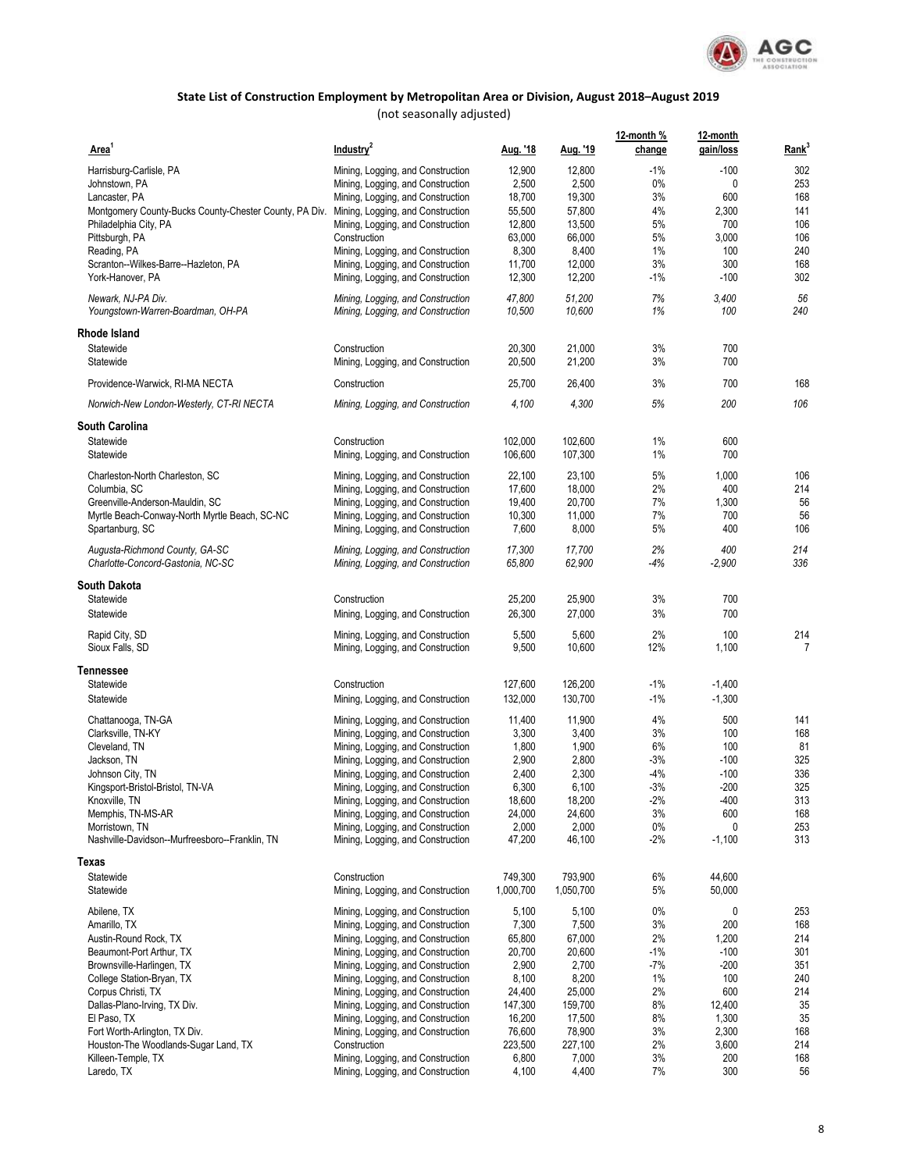

| Area <sup>1</sup>                                                                        | Industry <sup>2</sup>                                                  | Aug. '18         | Aug. '19         | 12-month %<br>change | 12-month<br>gain/loss | Rank <sup>3</sup> |
|------------------------------------------------------------------------------------------|------------------------------------------------------------------------|------------------|------------------|----------------------|-----------------------|-------------------|
| Harrisburg-Carlisle, PA                                                                  | Mining, Logging, and Construction                                      | 12,900           | 12,800           | $-1%$                | $-100$                | 302               |
| Johnstown, PA                                                                            | Mining, Logging, and Construction                                      | 2,500            | 2,500            | 0%                   | 0                     | 253               |
| Lancaster, PA                                                                            | Mining, Logging, and Construction                                      | 18,700           | 19,300           | 3%                   | 600                   | 168               |
| Montgomery County-Bucks County-Chester County, PA Div. Mining, Logging, and Construction |                                                                        | 55,500           | 57,800           | 4%                   | 2,300                 | 141               |
| Philadelphia City, PA                                                                    | Mining, Logging, and Construction                                      | 12,800           | 13,500           | 5%                   | 700                   | 106               |
| Pittsburgh, PA                                                                           | Construction                                                           | 63,000           | 66,000           | 5%                   | 3,000                 | 106               |
| Reading, PA                                                                              | Mining, Logging, and Construction                                      | 8,300            | 8,400            | 1%                   | 100                   | 240               |
| Scranton--Wilkes-Barre--Hazleton, PA                                                     | Mining, Logging, and Construction                                      | 11,700           | 12,000           | 3%                   | 300                   | 168               |
| York-Hanover, PA                                                                         | Mining, Logging, and Construction                                      | 12,300           | 12,200           | $-1%$                | $-100$                | 302               |
| Newark, NJ-PA Div.<br>Youngstown-Warren-Boardman, OH-PA                                  | Mining, Logging, and Construction<br>Mining, Logging, and Construction | 47,800<br>10,500 | 51,200<br>10,600 | 7%<br>1%             | 3,400<br>100          | 56<br>240         |
| Rhode Island                                                                             |                                                                        |                  |                  |                      |                       |                   |
| Statewide                                                                                | Construction                                                           | 20,300           | 21,000           | 3%                   | 700                   |                   |
| Statewide                                                                                | Mining, Logging, and Construction                                      | 20,500           | 21,200           | 3%                   | 700                   |                   |
| Providence-Warwick, RI-MA NECTA                                                          | Construction                                                           | 25,700           | 26,400           | 3%                   | 700                   | 168               |
| Norwich-New London-Westerly, CT-RI NECTA                                                 | Mining, Logging, and Construction                                      | 4,100            | 4,300            | 5%                   | 200                   | 106               |
| <b>South Carolina</b>                                                                    |                                                                        |                  |                  |                      |                       |                   |
| Statewide                                                                                | Construction                                                           | 102,000          | 102,600          | 1%                   | 600                   |                   |
| Statewide                                                                                | Mining, Logging, and Construction                                      | 106,600          | 107,300          | 1%                   | 700                   |                   |
| Charleston-North Charleston, SC                                                          | Mining, Logging, and Construction                                      | 22,100           | 23,100           | 5%                   | 1,000                 | 106               |
| Columbia, SC                                                                             | Mining, Logging, and Construction                                      | 17,600           | 18,000           | 2%                   | 400                   | 214               |
| Greenville-Anderson-Mauldin, SC                                                          | Mining, Logging, and Construction                                      | 19,400           | 20,700           | 7%                   | 1,300                 | 56                |
| Myrtle Beach-Conway-North Myrtle Beach, SC-NC                                            | Mining, Logging, and Construction                                      | 10,300           | 11,000           | 7%                   | 700                   | 56                |
| Spartanburg, SC                                                                          | Mining, Logging, and Construction                                      | 7,600            | 8,000            | 5%                   | 400                   | 106               |
| Augusta-Richmond County, GA-SC                                                           | Mining, Logging, and Construction                                      | 17,300           | 17,700           | 2%                   | 400                   | 214               |
| Charlotte-Concord-Gastonia, NC-SC                                                        | Mining, Logging, and Construction                                      | 65,800           | 62,900           | -4%                  | $-2,900$              | 336               |
| South Dakota                                                                             |                                                                        |                  |                  |                      |                       |                   |
| Statewide                                                                                | Construction                                                           | 25,200           | 25,900           | 3%                   | 700                   |                   |
| Statewide                                                                                | Mining, Logging, and Construction                                      | 26,300           | 27,000           | 3%                   | 700                   |                   |
| Rapid City, SD                                                                           | Mining, Logging, and Construction                                      | 5,500            | 5,600            | 2%                   | 100                   | 214               |
| Sioux Falls, SD                                                                          | Mining, Logging, and Construction                                      | 9,500            | 10,600           | 12%                  | 1,100                 | 7                 |
| Tennessee                                                                                |                                                                        |                  |                  |                      |                       |                   |
| Statewide                                                                                | Construction                                                           | 127,600          | 126,200          | $-1%$                | $-1,400$              |                   |
| Statewide                                                                                | Mining, Logging, and Construction                                      | 132,000          | 130,700          | $-1%$                | $-1,300$              |                   |
| Chattanooga, TN-GA                                                                       | Mining, Logging, and Construction                                      | 11,400           | 11,900           | 4%                   | 500                   | 141               |
| Clarksville, TN-KY                                                                       | Mining, Logging, and Construction                                      | 3,300            | 3,400            | 3%                   | 100                   | 168               |
| Cleveland, TN                                                                            | Mining, Logging, and Construction                                      | 1,800            | 1,900            | 6%                   | 100                   | 81                |
| Jackson, TN                                                                              | Mining, Logging, and Construction                                      | 2,900            | 2,800            | $-3%$                | $-100$                | 325               |
| Johnson City, TN                                                                         | Mining, Logging, and Construction                                      | 2,400            | 2,300            | $-4%$                | $-100$                | 336               |
| Kingsport-Bristol-Bristol, TN-VA                                                         | Mining, Logging, and Construction                                      | 6,300            | 6,100            | $-3%$                | $-200$                | 325               |
| Knoxville, TN                                                                            | Mining, Logging, and Construction                                      | 18,600           | 18,200           | $-2%$                | $-400$                | 313               |
| Memphis, TN-MS-AR                                                                        | Mining, Logging, and Construction                                      | 24,000           | 24,600           | 3%                   | 600                   | 168               |
| Morristown, TN                                                                           | Mining, Logging, and Construction                                      | 2,000            | 2,000            | $0\%$                | 0                     | 253               |
| Nashville-Davidson--Murfreesboro--Franklin, TN                                           | Mining, Logging, and Construction                                      | 47,200           | 46,100           | $-2%$                | $-1,100$              | 313               |
| Texas                                                                                    |                                                                        |                  |                  |                      |                       |                   |
| Statewide                                                                                | Construction                                                           | 749.300          | 793,900          | 6%                   | 44,600                |                   |
| Statewide                                                                                | Mining, Logging, and Construction                                      | 1,000,700        | 1,050,700        | 5%                   | 50,000                |                   |
| Abilene, TX                                                                              | Mining, Logging, and Construction                                      | 5,100            | 5,100            | 0%                   | 0<br>200              | 253               |
| Amarillo, TX                                                                             | Mining, Logging, and Construction                                      | 7,300            | 7,500            | 3%                   |                       | 168<br>214        |
| Austin-Round Rock, TX                                                                    | Mining, Logging, and Construction                                      | 65,800           | 67,000           | 2%                   | 1,200                 |                   |
| Beaumont-Port Arthur, TX                                                                 | Mining, Logging, and Construction                                      | 20,700           | 20,600<br>2,700  | $-1%$<br>$-7%$       | $-100$                | 301               |
| Brownsville-Harlingen, TX                                                                | Mining, Logging, and Construction                                      | 2,900            |                  |                      | $-200$                | 351               |
| College Station-Bryan, TX                                                                | Mining, Logging, and Construction                                      | 8,100            | 8,200            | 1%                   | 100                   | 240               |
| Corpus Christi, TX                                                                       | Mining, Logging, and Construction                                      | 24,400           | 25,000           | 2%                   | 600                   | 214               |
| Dallas-Plano-Irving, TX Div.                                                             | Mining, Logging, and Construction                                      | 147,300          | 159,700          | 8%                   | 12,400                | 35                |
| El Paso, TX                                                                              | Mining, Logging, and Construction                                      | 16,200           | 17,500           | 8%                   | 1,300                 | 35                |
| Fort Worth-Arlington, TX Div.                                                            | Mining, Logging, and Construction                                      | 76,600           | 78,900           | 3%                   | 2,300                 | 168               |
| Houston-The Woodlands-Sugar Land, TX                                                     | Construction                                                           | 223,500          | 227,100          | 2%                   | 3,600                 | 214               |
| Killeen-Temple, TX                                                                       | Mining, Logging, and Construction                                      | 6,800            | 7,000            | 3%                   | 200                   | 168               |
| Laredo, TX                                                                               | Mining, Logging, and Construction                                      | 4,100            | 4,400            | 7%                   | 300                   | 56                |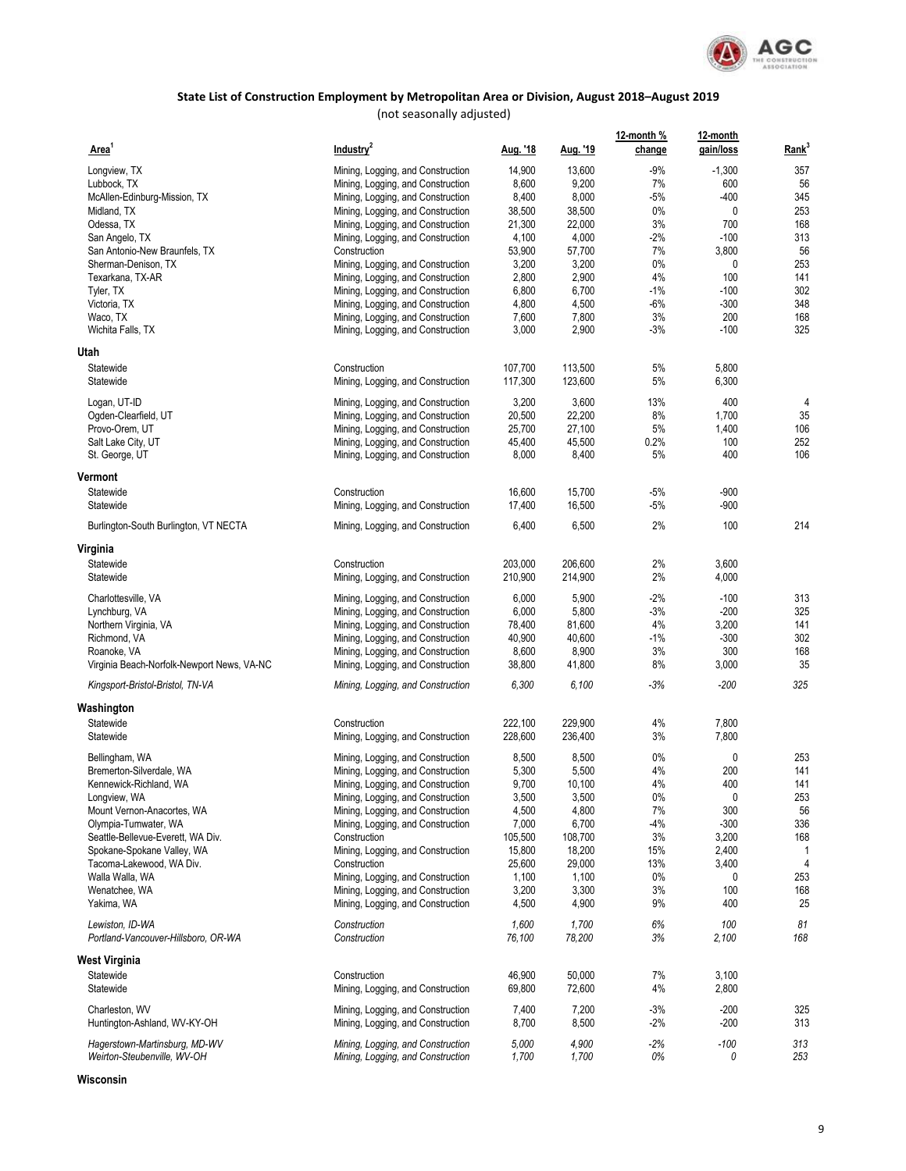

(not seasonally adjusted)

| Area                                                   | Industry <sup>2</sup>             | <u>Aug. '18</u> | <u>Aug. '19</u> | 12-month %<br>change | 12-month<br>gain/loss | Rank <sup>3</sup> |
|--------------------------------------------------------|-----------------------------------|-----------------|-----------------|----------------------|-----------------------|-------------------|
| Longview, TX                                           | Mining, Logging, and Construction | 14,900          | 13,600          | $-9%$                | $-1,300$              | 357               |
| Lubbock, TX                                            | Mining, Logging, and Construction | 8,600           | 9,200           | 7%                   | 600                   | 56                |
| McAllen-Edinburg-Mission, TX                           | Mining, Logging, and Construction | 8,400           | 8,000           | $-5%$                | $-400$                | 345               |
| Midland, TX                                            | Mining, Logging, and Construction | 38,500          | 38,500          | 0%                   | 0                     | 253               |
| Odessa, TX                                             | Mining, Logging, and Construction | 21,300          | 22,000          | 3%                   | 700                   | 168               |
| San Angelo, TX                                         | Mining, Logging, and Construction | 4,100           | 4,000           | -2%                  | $-100$                | 313               |
| San Antonio-New Braunfels, TX                          | Construction                      | 53,900          | 57,700          | 7%                   | 3,800                 | 56                |
| Sherman-Denison, TX                                    | Mining, Logging, and Construction | 3,200           | 3,200           | 0%                   | 0                     | 253               |
| Texarkana, TX-AR                                       | Mining, Logging, and Construction | 2,800           | 2,900           | 4%                   | 100                   | 141               |
| Tyler, TX                                              | Mining, Logging, and Construction | 6,800           | 6,700           | $-1%$                | $-100$                | 302               |
| Victoria, TX                                           | Mining, Logging, and Construction | 4,800           | 4,500           | -6%                  | $-300$                | 348               |
| Waco, TX                                               | Mining, Logging, and Construction | 7,600           | 7,800           | 3%                   | 200                   | 168               |
| Wichita Falls, TX                                      | Mining, Logging, and Construction | 3,000           | 2,900           | $-3%$                | $-100$                | 325               |
| Utah                                                   |                                   |                 |                 |                      |                       |                   |
| Statewide                                              | Construction                      | 107,700         | 113,500         | 5%                   | 5,800                 |                   |
| Statewide                                              | Mining, Logging, and Construction | 117,300         | 123,600         | 5%                   | 6,300                 |                   |
| Logan, UT-ID                                           | Mining, Logging, and Construction | 3,200           | 3,600           | 13%                  | 400                   | 4                 |
| Ogden-Clearfield, UT                                   | Mining, Logging, and Construction | 20,500          | 22,200          | 8%                   | 1,700                 | 35                |
| Provo-Orem, UT                                         | Mining, Logging, and Construction | 25,700          | 27,100          | 5%                   | 1,400                 | 106               |
| Salt Lake City, UT                                     | Mining, Logging, and Construction | 45,400          | 45,500          | 0.2%                 | 100                   | 252               |
| St. George, UT                                         | Mining, Logging, and Construction | 8,000           | 8,400           | 5%                   | 400                   | 106               |
| Vermont                                                |                                   |                 |                 |                      |                       |                   |
| Statewide                                              | Construction                      | 16,600          | 15,700          | $-5%$                | $-900$                |                   |
| Statewide                                              | Mining, Logging, and Construction | 17,400          | 16,500          | $-5%$                | $-900$                |                   |
| Burlington-South Burlington, VT NECTA                  | Mining, Logging, and Construction | 6,400           | 6,500           | 2%                   | 100                   | 214               |
| Virginia                                               |                                   |                 |                 |                      |                       |                   |
| Statewide                                              | Construction                      | 203,000         | 206,600         | 2%                   | 3,600                 |                   |
| Statewide                                              | Mining, Logging, and Construction | 210,900         | 214,900         | 2%                   | 4,000                 |                   |
| Charlottesville, VA                                    | Mining, Logging, and Construction | 6,000           | 5,900           | $-2%$                | $-100$                | 313               |
| Lynchburg, VA                                          | Mining, Logging, and Construction | 6,000           | 5,800           | $-3%$                | $-200$                | 325               |
| Northern Virginia, VA                                  | Mining, Logging, and Construction | 78,400          | 81,600          | 4%                   | 3,200                 | 141               |
| Richmond, VA                                           | Mining, Logging, and Construction | 40,900          | 40,600          | $-1%$                | $-300$                | 302               |
| Roanoke, VA                                            | Mining, Logging, and Construction | 8,600           | 8,900           | 3%                   | 300                   | 168               |
| Virginia Beach-Norfolk-Newport News, VA-NC             | Mining, Logging, and Construction | 38,800          | 41,800          | 8%                   | 3,000                 | 35                |
| Kingsport-Bristol-Bristol, TN-VA                       | Mining, Logging, and Construction | 6,300           | 6,100           | -3%                  | $-200$                | 325               |
| Washington                                             |                                   |                 |                 |                      |                       |                   |
| Statewide                                              | Construction                      | 222,100         | 229,900         | 4%                   | 7,800                 |                   |
| Statewide                                              | Mining, Logging, and Construction | 228,600         | 236,400         | 3%                   | 7,800                 |                   |
| Bellingham, WA                                         | Mining, Logging, and Construction | 8,500           | 8,500           | 0%                   | 0                     | 253               |
| Bremerton-Silverdale, WA                               | Mining, Logging, and Construction | 5,300           | 5,500           | 4%                   | 200                   | 141               |
| Kennewick-Richland, WA                                 | Mining, Logging, and Construction | 9,700           | 10,100          | 4%                   | 400                   | 141               |
| Longview, WA                                           | Mining, Logging, and Construction | 3,500           | 3,500           | 0%                   | U                     | 253               |
| Mount Vernon-Anacortes, WA                             | Mining, Logging, and Construction | 4,500           | 4,800           | 7%                   | 300                   | 56                |
| Olympia-Tumwater, WA                                   | Mining, Logging, and Construction | 7,000           | 6,700           | $-4%$                | $-300$                | 336               |
| Seattle-Bellevue-Everett, WA Div.                      | Construction                      | 105,500         | 108,700         | 3%                   | 3,200                 | 168               |
| Spokane-Spokane Valley, WA                             | Mining, Logging, and Construction | 15,800          | 18,200          | 15%                  | 2,400                 | -1                |
| Tacoma-Lakewood, WA Div.                               | Construction                      | 25,600          | 29,000          | 13%                  | 3,400                 | 4                 |
| Walla Walla, WA                                        | Mining, Logging, and Construction | 1,100           | 1,100           | 0%                   | 0                     | 253               |
| Wenatchee, WA                                          | Mining, Logging, and Construction | 3,200           | 3,300           | 3%                   | 100                   | 168               |
| Yakima, WA                                             | Mining, Logging, and Construction | 4,500           | 4,900           | 9%                   | 400                   | 25                |
| Lewiston, ID-WA<br>Portland-Vancouver-Hillsboro, OR-WA | Construction<br>Construction      | 1,600<br>76,100 | 1,700<br>78,200 | 6%<br>3%             | 100<br>2,100          | 81<br>168         |
| West Virginia                                          |                                   |                 |                 |                      |                       |                   |
| Statewide                                              | Construction                      | 46,900          | 50,000          | 7%                   | 3,100                 |                   |
| Statewide                                              | Mining, Logging, and Construction | 69,800          | 72,600          | 4%                   | 2,800                 |                   |
| Charleston, WV                                         | Mining, Logging, and Construction | 7,400           | 7,200           | $-3%$                | $-200$                | 325               |
| Huntington-Ashland, WV-KY-OH                           | Mining, Logging, and Construction | 8,700           | 8,500           | -2%                  | $-200$                | 313               |
| Hagerstown-Martinsburg, MD-WV                          | Mining, Logging, and Construction | 5,000           | 4,900           | $-2%$                | $-100$                | 313               |
| Weirton-Steubenville, WV-OH                            | Mining, Logging, and Construction | 1,700           | 1,700           | 0%                   | 0                     | 253               |

**Wisconsin**